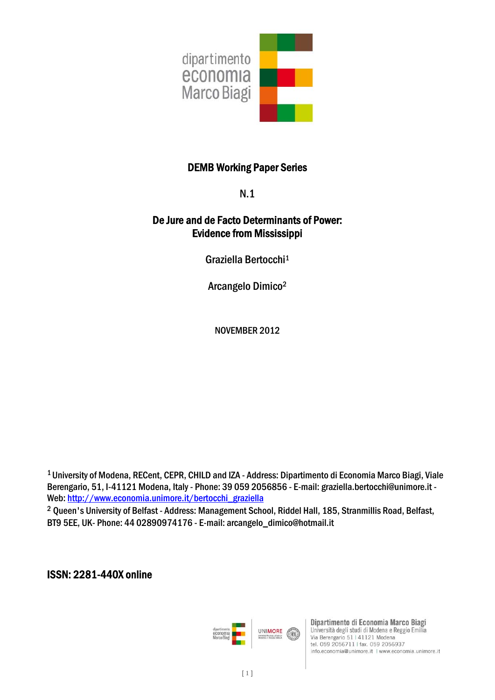

# DEMB Working Paper Series

N.1

# De Jure and de Facto Determinants of Power: Evidence from Mississippi

Graziella Bertocchi1

Arcangelo Dimico2

NOVEMBER 2012

1 University of Modena, RECent, CEPR, CHILD and IZA - Address: Dipartimento di Economia Marco Biagi, Viale Berengario, 51, I-41121 Modena, Italy - Phone: 39 059 2056856 - E-mail: graziella.bertocchi@unimore.it - Web: http://www.economia.unimore.it/bertocchi\_graziella

<sup>2</sup> Queen's University of Belfast - Address: Management School, Riddel Hall, 185, Stranmillis Road, Belfast, BT9 5EE, UK- Phone: 44 02890974176 - E-mail: arcangelo\_dimico@hotmail.it

ISSN: 2281-440X online



Dipartimento di Economia Marco Biagi Università degli studi di Modena e Reggio Emilia Via Berengario 51 | 41121 Modena tel. 059 2056711 | fax. 059 2056937 info.economia@unimore.it | www.economia.unimore.it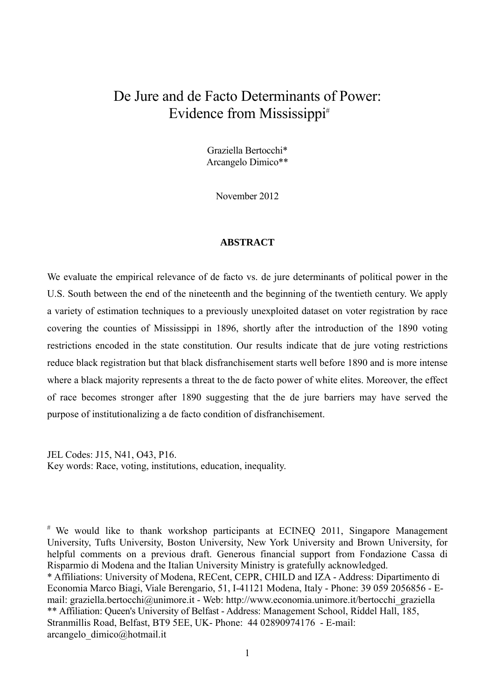# De Jure and de Facto Determinants of Power: Evidence from Mississippi<sup>#</sup>

Graziella Bertocchi\* Arcangelo Dimico\*\*

November 2012

## **ABSTRACT**

We evaluate the empirical relevance of de facto vs. de jure determinants of political power in the U.S. South between the end of the nineteenth and the beginning of the twentieth century. We apply a variety of estimation techniques to a previously unexploited dataset on voter registration by race covering the counties of Mississippi in 1896, shortly after the introduction of the 1890 voting restrictions encoded in the state constitution. Our results indicate that de jure voting restrictions reduce black registration but that black disfranchisement starts well before 1890 and is more intense where a black majority represents a threat to the de facto power of white elites. Moreover, the effect of race becomes stronger after 1890 suggesting that the de jure barriers may have served the purpose of institutionalizing a de facto condition of disfranchisement.

JEL Codes: J15, N41, O43, P16. Key words: Race, voting, institutions, education, inequality.

 $*$  We would like to thank workshop participants at ECINEQ 2011, Singapore Management University, Tufts University, Boston University, New York University and Brown University, for helpful comments on a previous draft. Generous financial support from Fondazione Cassa di Risparmio di Modena and the Italian University Ministry is gratefully acknowledged. \* Affiliations: University of Modena, RECent, CEPR, CHILD and IZA - Address: Dipartimento di Economia Marco Biagi, Viale Berengario, 51, I-41121 Modena, Italy - Phone: 39 059 2056856 - Email: graziella.bertocchi@unimore.it - Web: http://www.economia.unimore.it/bertocchi\_graziella \*\* Affiliation: Queen's University of Belfast - Address: Management School, Riddel Hall, 185, Stranmillis Road, Belfast, BT9 5EE, UK- Phone: 44 02890974176 - E-mail: arcangelo\_dimico@hotmail.it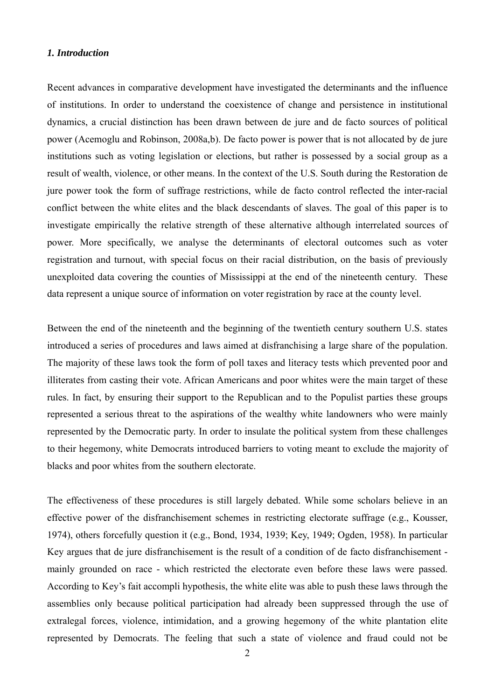#### *1. Introduction*

Recent advances in comparative development have investigated the determinants and the influence of institutions. In order to understand the coexistence of change and persistence in institutional dynamics, a crucial distinction has been drawn between de jure and de facto sources of political power (Acemoglu and Robinson, 2008a,b). De facto power is power that is not allocated by de jure institutions such as voting legislation or elections, but rather is possessed by a social group as a result of wealth, violence, or other means. In the context of the U.S. South during the Restoration de jure power took the form of suffrage restrictions, while de facto control reflected the inter-racial conflict between the white elites and the black descendants of slaves. The goal of this paper is to investigate empirically the relative strength of these alternative although interrelated sources of power. More specifically, we analyse the determinants of electoral outcomes such as voter registration and turnout, with special focus on their racial distribution, on the basis of previously unexploited data covering the counties of Mississippi at the end of the nineteenth century. These data represent a unique source of information on voter registration by race at the county level.

Between the end of the nineteenth and the beginning of the twentieth century southern U.S. states introduced a series of procedures and laws aimed at disfranchising a large share of the population. The majority of these laws took the form of poll taxes and literacy tests which prevented poor and illiterates from casting their vote. African Americans and poor whites were the main target of these rules. In fact, by ensuring their support to the Republican and to the Populist parties these groups represented a serious threat to the aspirations of the wealthy white landowners who were mainly represented by the Democratic party. In order to insulate the political system from these challenges to their hegemony, white Democrats introduced barriers to voting meant to exclude the majority of blacks and poor whites from the southern electorate.

The effectiveness of these procedures is still largely debated. While some scholars believe in an effective power of the disfranchisement schemes in restricting electorate suffrage (e.g., Kousser, 1974), others forcefully question it (e.g., Bond, 1934, 1939; Key, 1949; Ogden, 1958). In particular Key argues that de jure disfranchisement is the result of a condition of de facto disfranchisement mainly grounded on race - which restricted the electorate even before these laws were passed. According to Key's fait accompli hypothesis, the white elite was able to push these laws through the assemblies only because political participation had already been suppressed through the use of extralegal forces, violence, intimidation, and a growing hegemony of the white plantation elite represented by Democrats. The feeling that such a state of violence and fraud could not be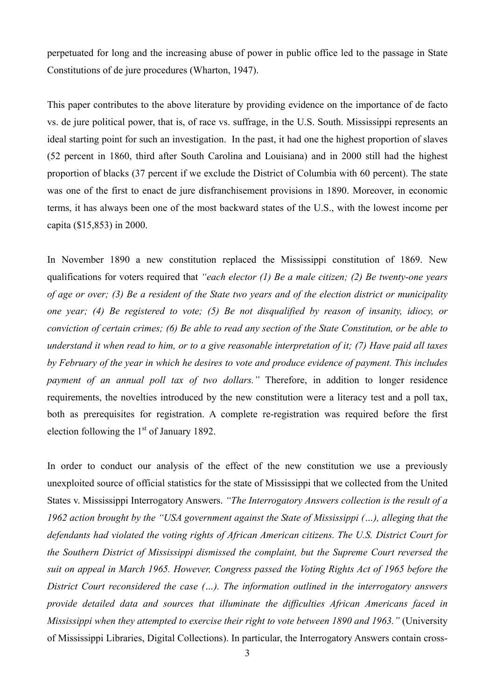perpetuated for long and the increasing abuse of power in public office led to the passage in State Constitutions of de jure procedures (Wharton, 1947).

This paper contributes to the above literature by providing evidence on the importance of de facto vs. de jure political power, that is, of race vs. suffrage, in the U.S. South. Mississippi represents an ideal starting point for such an investigation. In the past, it had one the highest proportion of slaves (52 percent in 1860, third after South Carolina and Louisiana) and in 2000 still had the highest proportion of blacks (37 percent if we exclude the District of Columbia with 60 percent). The state was one of the first to enact de jure disfranchisement provisions in 1890. Moreover, in economic terms, it has always been one of the most backward states of the U.S., with the lowest income per capita (\$15,853) in 2000.

In November 1890 a new constitution replaced the Mississippi constitution of 1869. New qualifications for voters required that *"each elector (1) Be a male citizen; (2) Be twenty-one years of age or over; (3) Be a resident of the State two years and of the election district or municipality one year; (4) Be registered to vote; (5) Be not disqualified by reason of insanity, idiocy, or conviction of certain crimes; (6) Be able to read any section of the State Constitution, or be able to understand it when read to him, or to a give reasonable interpretation of it; (7) Have paid all taxes by February of the year in which he desires to vote and produce evidence of payment. This includes payment of an annual poll tax of two dollars."* Therefore, in addition to longer residence requirements, the novelties introduced by the new constitution were a literacy test and a poll tax, both as prerequisites for registration. A complete re-registration was required before the first election following the  $1<sup>st</sup>$  of January 1892.

In order to conduct our analysis of the effect of the new constitution we use a previously unexploited source of official statistics for the state of Mississippi that we collected from the United States v. Mississippi Interrogatory Answers. *"The Interrogatory Answers collection is the result of a 1962 action brought by the "USA government against the State of Mississippi (…), alleging that the defendants had violated the voting rights of African American citizens. The U.S. District Court for the Southern District of Mississippi dismissed the complaint, but the Supreme Court reversed the suit on appeal in March 1965. However, Congress passed the Voting Rights Act of 1965 before the District Court reconsidered the case (…). The information outlined in the interrogatory answers provide detailed data and sources that illuminate the difficulties African Americans faced in Mississippi when they attempted to exercise their right to vote between 1890 and 1963."* (University of Mississippi Libraries, Digital Collections). In particular, the Interrogatory Answers contain cross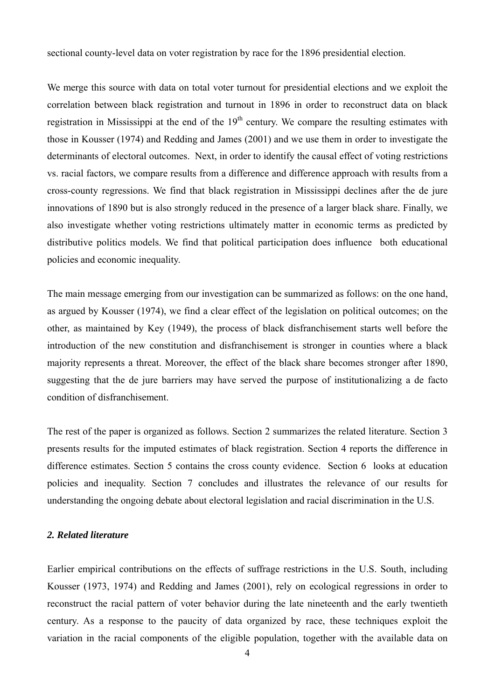sectional county-level data on voter registration by race for the 1896 presidential election.

We merge this source with data on total voter turnout for presidential elections and we exploit the correlation between black registration and turnout in 1896 in order to reconstruct data on black registration in Mississippi at the end of the  $19<sup>th</sup>$  century. We compare the resulting estimates with those in Kousser (1974) and Redding and James (2001) and we use them in order to investigate the determinants of electoral outcomes. Next, in order to identify the causal effect of voting restrictions vs. racial factors, we compare results from a difference and difference approach with results from a cross-county regressions. We find that black registration in Mississippi declines after the de jure innovations of 1890 but is also strongly reduced in the presence of a larger black share. Finally, we also investigate whether voting restrictions ultimately matter in economic terms as predicted by distributive politics models. We find that political participation does influence both educational policies and economic inequality.

The main message emerging from our investigation can be summarized as follows: on the one hand, as argued by Kousser (1974), we find a clear effect of the legislation on political outcomes; on the other, as maintained by Key (1949), the process of black disfranchisement starts well before the introduction of the new constitution and disfranchisement is stronger in counties where a black majority represents a threat. Moreover, the effect of the black share becomes stronger after 1890, suggesting that the de jure barriers may have served the purpose of institutionalizing a de facto condition of disfranchisement.

The rest of the paper is organized as follows. Section 2 summarizes the related literature. Section 3 presents results for the imputed estimates of black registration. Section 4 reports the difference in difference estimates. Section 5 contains the cross county evidence. Section 6 looks at education policies and inequality. Section 7 concludes and illustrates the relevance of our results for understanding the ongoing debate about electoral legislation and racial discrimination in the U.S.

### *2. Related literature*

Earlier empirical contributions on the effects of suffrage restrictions in the U.S. South, including Kousser (1973, 1974) and Redding and James (2001), rely on ecological regressions in order to reconstruct the racial pattern of voter behavior during the late nineteenth and the early twentieth century. As a response to the paucity of data organized by race, these techniques exploit the variation in the racial components of the eligible population, together with the available data on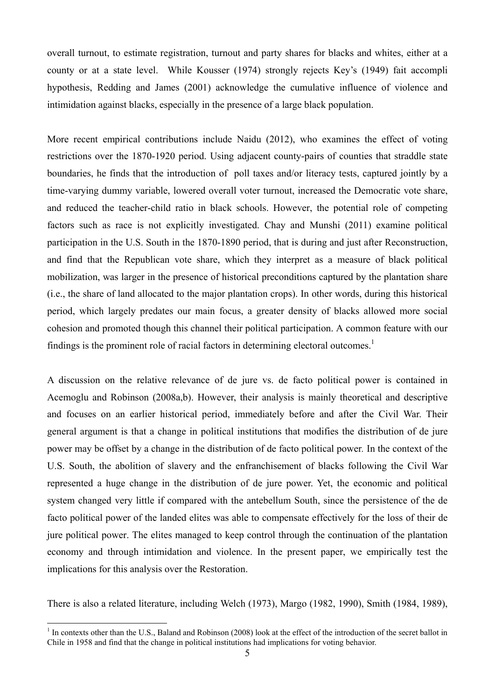overall turnout, to estimate registration, turnout and party shares for blacks and whites, either at a county or at a state level. While Kousser (1974) strongly rejects Key's (1949) fait accompli hypothesis, Redding and James (2001) acknowledge the cumulative influence of violence and intimidation against blacks, especially in the presence of a large black population.

More recent empirical contributions include Naidu (2012), who examines the effect of voting restrictions over the 1870-1920 period. Using adjacent county-pairs of counties that straddle state boundaries, he finds that the introduction of poll taxes and/or literacy tests, captured jointly by a time-varying dummy variable, lowered overall voter turnout, increased the Democratic vote share, and reduced the teacher-child ratio in black schools. However, the potential role of competing factors such as race is not explicitly investigated. Chay and Munshi (2011) examine political participation in the U.S. South in the 1870-1890 period, that is during and just after Reconstruction, and find that the Republican vote share, which they interpret as a measure of black political mobilization, was larger in the presence of historical preconditions captured by the plantation share (i.e., the share of land allocated to the major plantation crops). In other words, during this historical period, which largely predates our main focus, a greater density of blacks allowed more social cohesion and promoted though this channel their political participation. A common feature with our findings is the prominent role of racial factors in determining electoral outcomes.<sup>1</sup>

A discussion on the relative relevance of de jure vs. de facto political power is contained in Acemoglu and Robinson (2008a,b). However, their analysis is mainly theoretical and descriptive and focuses on an earlier historical period, immediately before and after the Civil War. Their general argument is that a change in political institutions that modifies the distribution of de jure power may be offset by a change in the distribution of de facto political power*.* In the context of the U.S. South, the abolition of slavery and the enfranchisement of blacks following the Civil War represented a huge change in the distribution of de jure power. Yet, the economic and political system changed very little if compared with the antebellum South, since the persistence of the de facto political power of the landed elites was able to compensate effectively for the loss of their de jure political power. The elites managed to keep control through the continuation of the plantation economy and through intimidation and violence. In the present paper, we empirically test the implications for this analysis over the Restoration.

There is also a related literature, including Welch (1973), Margo (1982, 1990), Smith (1984, 1989),

<sup>&</sup>lt;sup>1</sup> In contexts other than the U.S., Baland and Robinson (2008) look at the effect of the introduction of the secret ballot in Chile in 1958 and find that the change in political institutions had implications for voting behavior.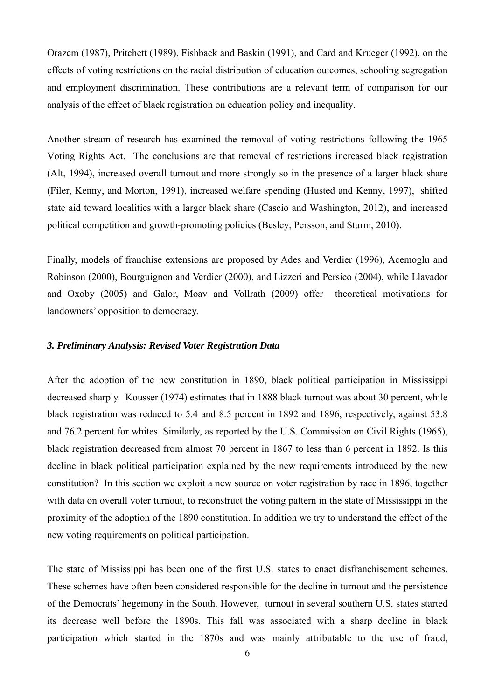Orazem (1987), Pritchett (1989), Fishback and Baskin (1991), and Card and Krueger (1992), on the effects of voting restrictions on the racial distribution of education outcomes, schooling segregation and employment discrimination. These contributions are a relevant term of comparison for our analysis of the effect of black registration on education policy and inequality.

Another stream of research has examined the removal of voting restrictions following the 1965 Voting Rights Act. The conclusions are that removal of restrictions increased black registration (Alt, 1994), increased overall turnout and more strongly so in the presence of a larger black share (Filer, Kenny, and Morton, 1991), increased welfare spending (Husted and Kenny, 1997), shifted state aid toward localities with a larger black share (Cascio and Washington, 2012), and increased political competition and growth-promoting policies (Besley, Persson, and Sturm, 2010).

Finally, models of franchise extensions are proposed by Ades and Verdier (1996), Acemoglu and Robinson (2000), Bourguignon and Verdier (2000), and Lizzeri and Persico (2004), while Llavador and Oxoby (2005) and Galor, Moav and Vollrath (2009) offer theoretical motivations for landowners' opposition to democracy.

#### *3. Preliminary Analysis: Revised Voter Registration Data*

After the adoption of the new constitution in 1890, black political participation in Mississippi decreased sharply. Kousser (1974) estimates that in 1888 black turnout was about 30 percent, while black registration was reduced to 5.4 and 8.5 percent in 1892 and 1896, respectively, against 53.8 and 76.2 percent for whites. Similarly, as reported by the U.S. Commission on Civil Rights (1965), black registration decreased from almost 70 percent in 1867 to less than 6 percent in 1892. Is this decline in black political participation explained by the new requirements introduced by the new constitution? In this section we exploit a new source on voter registration by race in 1896, together with data on overall voter turnout, to reconstruct the voting pattern in the state of Mississippi in the proximity of the adoption of the 1890 constitution. In addition we try to understand the effect of the new voting requirements on political participation.

The state of Mississippi has been one of the first U.S. states to enact disfranchisement schemes. These schemes have often been considered responsible for the decline in turnout and the persistence of the Democrats' hegemony in the South. However, turnout in several southern U.S. states started its decrease well before the 1890s. This fall was associated with a sharp decline in black participation which started in the 1870s and was mainly attributable to the use of fraud,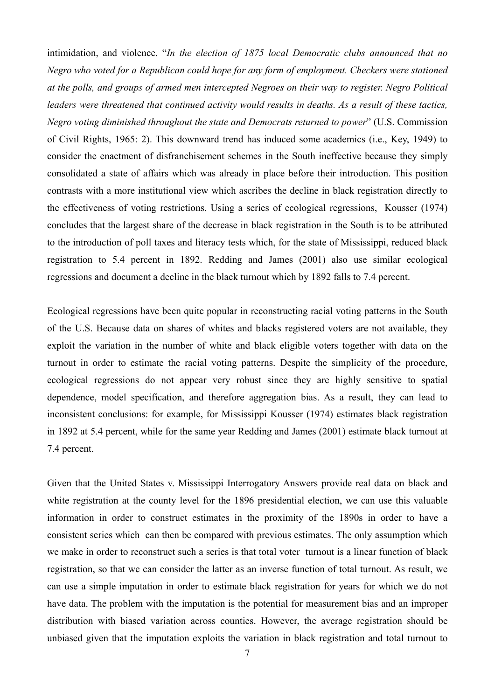intimidation, and violence. "*In the election of 1875 local Democratic clubs announced that no Negro who voted for a Republican could hope for any form of employment. Checkers were stationed at the polls, and groups of armed men intercepted Negroes on their way to register. Negro Political leaders were threatened that continued activity would results in deaths. As a result of these tactics, Negro voting diminished throughout the state and Democrats returned to power*" (U.S. Commission of Civil Rights, 1965: 2). This downward trend has induced some academics (i.e., Key, 1949) to consider the enactment of disfranchisement schemes in the South ineffective because they simply consolidated a state of affairs which was already in place before their introduction. This position contrasts with a more institutional view which ascribes the decline in black registration directly to the effectiveness of voting restrictions. Using a series of ecological regressions, Kousser (1974) concludes that the largest share of the decrease in black registration in the South is to be attributed to the introduction of poll taxes and literacy tests which, for the state of Mississippi, reduced black registration to 5.4 percent in 1892. Redding and James (2001) also use similar ecological regressions and document a decline in the black turnout which by 1892 falls to 7.4 percent.

Ecological regressions have been quite popular in reconstructing racial voting patterns in the South of the U.S. Because data on shares of whites and blacks registered voters are not available, they exploit the variation in the number of white and black eligible voters together with data on the turnout in order to estimate the racial voting patterns. Despite the simplicity of the procedure, ecological regressions do not appear very robust since they are highly sensitive to spatial dependence, model specification, and therefore aggregation bias. As a result, they can lead to inconsistent conclusions: for example, for Mississippi Kousser (1974) estimates black registration in 1892 at 5.4 percent, while for the same year Redding and James (2001) estimate black turnout at 7.4 percent.

Given that the United States v. Mississippi Interrogatory Answers provide real data on black and white registration at the county level for the 1896 presidential election, we can use this valuable information in order to construct estimates in the proximity of the 1890s in order to have a consistent series which can then be compared with previous estimates. The only assumption which we make in order to reconstruct such a series is that total voter turnout is a linear function of black registration, so that we can consider the latter as an inverse function of total turnout. As result, we can use a simple imputation in order to estimate black registration for years for which we do not have data. The problem with the imputation is the potential for measurement bias and an improper distribution with biased variation across counties. However, the average registration should be unbiased given that the imputation exploits the variation in black registration and total turnout to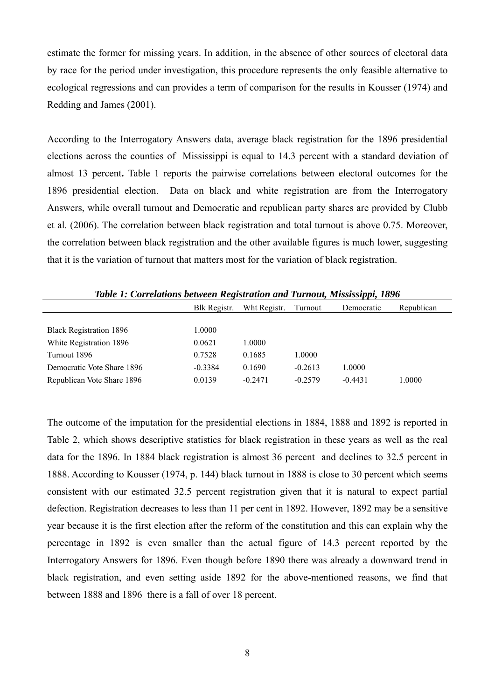estimate the former for missing years. In addition, in the absence of other sources of electoral data by race for the period under investigation, this procedure represents the only feasible alternative to ecological regressions and can provides a term of comparison for the results in Kousser (1974) and Redding and James (2001).

According to the Interrogatory Answers data, average black registration for the 1896 presidential elections across the counties of Mississippi is equal to 14.3 percent with a standard deviation of almost 13 percent**.** Table 1 reports the pairwise correlations between electoral outcomes for the 1896 presidential election. Data on black and white registration are from the Interrogatory Answers, while overall turnout and Democratic and republican party shares are provided by Clubb et al. (2006). The correlation between black registration and total turnout is above 0.75. Moreover, the correlation between black registration and the other available figures is much lower, suggesting that it is the variation of turnout that matters most for the variation of black registration.

|                                | Blk Registr. | Wht Registr. | Turnout   | Democratic | Republican |
|--------------------------------|--------------|--------------|-----------|------------|------------|
|                                |              |              |           |            |            |
| <b>Black Registration 1896</b> | 1.0000       |              |           |            |            |
| White Registration 1896        | 0.0621       | 1.0000       |           |            |            |
| Turnout 1896                   | 0.7528       | 0.1685       | 1.0000    |            |            |
| Democratic Vote Share 1896     | $-0.3384$    | 0.1690       | $-0.2613$ | 1.0000     |            |
| Republican Vote Share 1896     | 0.0139       | $-0.2471$    | $-0.2579$ | $-0.4431$  | .0000      |

*Table 1: Correlations between Registration and Turnout, Mississippi, 1896*

The outcome of the imputation for the presidential elections in 1884, 1888 and 1892 is reported in Table 2, which shows descriptive statistics for black registration in these years as well as the real data for the 1896. In 1884 black registration is almost 36 percent and declines to 32.5 percent in 1888. According to Kousser (1974, p. 144) black turnout in 1888 is close to 30 percent which seems consistent with our estimated 32.5 percent registration given that it is natural to expect partial defection. Registration decreases to less than 11 per cent in 1892. However, 1892 may be a sensitive year because it is the first election after the reform of the constitution and this can explain why the percentage in 1892 is even smaller than the actual figure of 14.3 percent reported by the Interrogatory Answers for 1896. Even though before 1890 there was already a downward trend in black registration, and even setting aside 1892 for the above-mentioned reasons, we find that between 1888 and 1896 there is a fall of over 18 percent.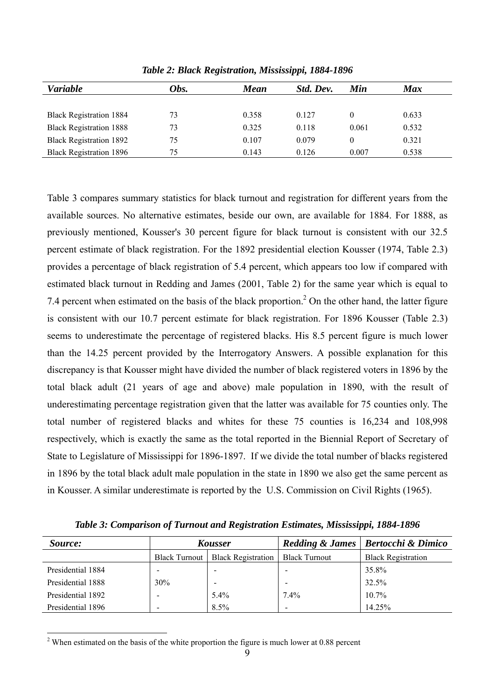| <b>Variable</b>                | Obs. | <b>Mean</b> | Std. Dev. | Min      | <b>Max</b> |
|--------------------------------|------|-------------|-----------|----------|------------|
|                                |      |             |           |          |            |
| <b>Black Registration 1884</b> | 73   | 0.358       | 0.127     | $\theta$ | 0.633      |
| <b>Black Registration 1888</b> | 73   | 0.325       | 0.118     | 0.061    | 0.532      |
| <b>Black Registration 1892</b> | 75   | 0.107       | 0.079     | $\theta$ | 0.321      |
| <b>Black Registration 1896</b> | 75   | 0.143       | 0.126     | 0.007    | 0.538      |

*Table 2: Black Registration, Mississippi, 1884-1896* 

Table 3 compares summary statistics for black turnout and registration for different years from the available sources. No alternative estimates, beside our own, are available for 1884. For 1888, as previously mentioned, Kousser's 30 percent figure for black turnout is consistent with our 32.5 percent estimate of black registration. For the 1892 presidential election Kousser (1974, Table 2.3) provides a percentage of black registration of 5.4 percent, which appears too low if compared with estimated black turnout in Redding and James (2001, Table 2) for the same year which is equal to 7.4 percent when estimated on the basis of the black proportion.<sup>2</sup> On the other hand, the latter figure is consistent with our 10.7 percent estimate for black registration. For 1896 Kousser (Table 2.3) seems to underestimate the percentage of registered blacks. His 8.5 percent figure is much lower than the 14.25 percent provided by the Interrogatory Answers. A possible explanation for this discrepancy is that Kousser might have divided the number of black registered voters in 1896 by the total black adult (21 years of age and above) male population in 1890, with the result of underestimating percentage registration given that the latter was available for 75 counties only. The total number of registered blacks and whites for these 75 counties is 16,234 and 108,998 respectively, which is exactly the same as the total reported in the Biennial Report of Secretary of State to Legislature of Mississippi for 1896-1897. If we divide the total number of blacks registered in 1896 by the total black adult male population in the state in 1890 we also get the same percent as in Kousser. A similar underestimate is reported by the U.S. Commission on Civil Rights (1965).

*Table 3: Comparison of Turnout and Registration Estimates, Mississippi, 1884-1896* 

| Source:           | <b>Kousser</b> |                           | <b>Redding &amp; James</b> | <b>Bertocchi &amp; Dimico</b> |
|-------------------|----------------|---------------------------|----------------------------|-------------------------------|
|                   | Black Turnout  | <b>Black Registration</b> | <b>Black Turnout</b>       | <b>Black Registration</b>     |
| Presidential 1884 |                |                           | $\,$                       | 35.8%                         |
| Presidential 1888 | 30%            |                           |                            | 32.5%                         |
| Presidential 1892 |                | 5.4%                      | $7.4\%$                    | $10.7\%$                      |
| Presidential 1896 |                | 8.5%                      | $\,$                       | 14.25%                        |

 $2$ <sup>2</sup> When estimated on the basis of the white proportion the figure is much lower at 0.88 percent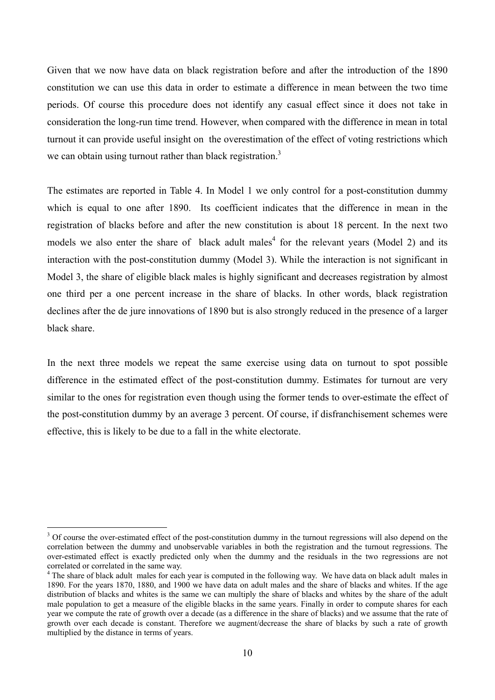Given that we now have data on black registration before and after the introduction of the 1890 constitution we can use this data in order to estimate a difference in mean between the two time periods. Of course this procedure does not identify any casual effect since it does not take in consideration the long-run time trend. However, when compared with the difference in mean in total turnout it can provide useful insight on the overestimation of the effect of voting restrictions which we can obtain using turnout rather than black registration.<sup>3</sup>

The estimates are reported in Table 4. In Model 1 we only control for a post-constitution dummy which is equal to one after 1890. Its coefficient indicates that the difference in mean in the registration of blacks before and after the new constitution is about 18 percent. In the next two models we also enter the share of black adult males<sup>4</sup> for the relevant years (Model 2) and its interaction with the post-constitution dummy (Model 3). While the interaction is not significant in Model 3, the share of eligible black males is highly significant and decreases registration by almost one third per a one percent increase in the share of blacks. In other words, black registration declines after the de jure innovations of 1890 but is also strongly reduced in the presence of a larger black share.

In the next three models we repeat the same exercise using data on turnout to spot possible difference in the estimated effect of the post-constitution dummy. Estimates for turnout are very similar to the ones for registration even though using the former tends to over-estimate the effect of the post-constitution dummy by an average 3 percent. Of course, if disfranchisement schemes were effective, this is likely to be due to a fall in the white electorate.

<sup>&</sup>lt;sup>3</sup> Of course the over-estimated effect of the post-constitution dummy in the turnout regressions will also depend on the correlation between the dummy and unobservable variables in both the registration and the turnout regressions. The over-estimated effect is exactly predicted only when the dummy and the residuals in the two regressions are not correlated or correlated in the same way.

<sup>&</sup>lt;sup>4</sup> The share of black adult males for each year is computed in the following way. We have data on black adult males in 1890. For the years 1870, 1880, and 1900 we have data on adult males and the share of blacks and whites. If the age distribution of blacks and whites is the same we can multiply the share of blacks and whites by the share of the adult male population to get a measure of the eligible blacks in the same years. Finally in order to compute shares for each year we compute the rate of growth over a decade (as a difference in the share of blacks) and we assume that the rate of growth over each decade is constant. Therefore we augment/decrease the share of blacks by such a rate of growth multiplied by the distance in terms of years.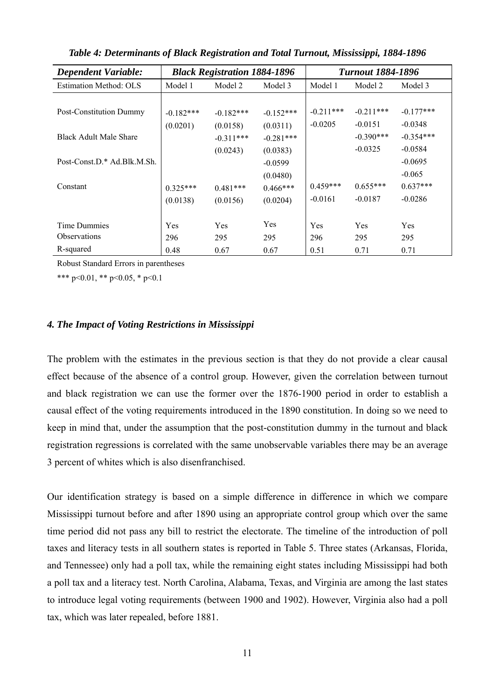| <b>Dependent Variable:</b>    |             |             | <b>Black Registration 1884-1896</b><br><b>Turnout 1884-1896</b> |             |             |             |
|-------------------------------|-------------|-------------|-----------------------------------------------------------------|-------------|-------------|-------------|
| <b>Estimation Method: OLS</b> | Model 1     | Model 2     | Model 3                                                         | Model 1     | Model 2     | Model 3     |
| Post-Constitution Dummy       | $-0.182***$ | $-0.182***$ | $-0.152***$                                                     | $-0.211***$ | $-0.211***$ | $-0.177***$ |
|                               | (0.0201)    | (0.0158)    | (0.0311)                                                        | $-0.0205$   | $-0.0151$   | $-0.0348$   |
| <b>Black Adult Male Share</b> |             | $-0.311***$ | $-0.281***$                                                     |             | $-0.390***$ | $-0.354***$ |
|                               |             | (0.0243)    | (0.0383)                                                        |             | $-0.0325$   | $-0.0584$   |
| Post-Const.D.* Ad.Blk.M.Sh.   |             |             | $-0.0599$                                                       |             |             | $-0.0695$   |
|                               |             |             | (0.0480)                                                        |             |             | $-0.065$    |
| Constant                      | $0.325***$  | $0.481***$  | $0.466***$                                                      | $0.459***$  | $0.655***$  | $0.637***$  |
|                               | (0.0138)    | (0.0156)    | (0.0204)                                                        | $-0.0161$   | $-0.0187$   | $-0.0286$   |
|                               |             |             |                                                                 |             |             |             |
| Time Dummies                  | Yes         | Yes         | Yes                                                             | <b>Yes</b>  | <b>Yes</b>  | <b>Yes</b>  |
| <b>Observations</b>           | 296         | 295         | 295                                                             | 296         | 295         | 295         |
| R-squared                     | 0.48        | 0.67        | 0.67                                                            | 0.51        | 0.71        | 0.71        |

*Table 4: Determinants of Black Registration and Total Turnout, Mississippi, 1884-1896*

Robust Standard Errors in parentheses

\*\*\* p<0.01, \*\* p<0.05, \* p<0.1

## *4. The Impact of Voting Restrictions in Mississippi*

The problem with the estimates in the previous section is that they do not provide a clear causal effect because of the absence of a control group. However, given the correlation between turnout and black registration we can use the former over the 1876-1900 period in order to establish a causal effect of the voting requirements introduced in the 1890 constitution. In doing so we need to keep in mind that, under the assumption that the post-constitution dummy in the turnout and black registration regressions is correlated with the same unobservable variables there may be an average 3 percent of whites which is also disenfranchised.

Our identification strategy is based on a simple difference in difference in which we compare Mississippi turnout before and after 1890 using an appropriate control group which over the same time period did not pass any bill to restrict the electorate. The timeline of the introduction of poll taxes and literacy tests in all southern states is reported in Table 5. Three states (Arkansas, Florida, and Tennessee) only had a poll tax, while the remaining eight states including Mississippi had both a poll tax and a literacy test. North Carolina, Alabama, Texas, and Virginia are among the last states to introduce legal voting requirements (between 1900 and 1902). However, Virginia also had a poll tax, which was later repealed, before 1881.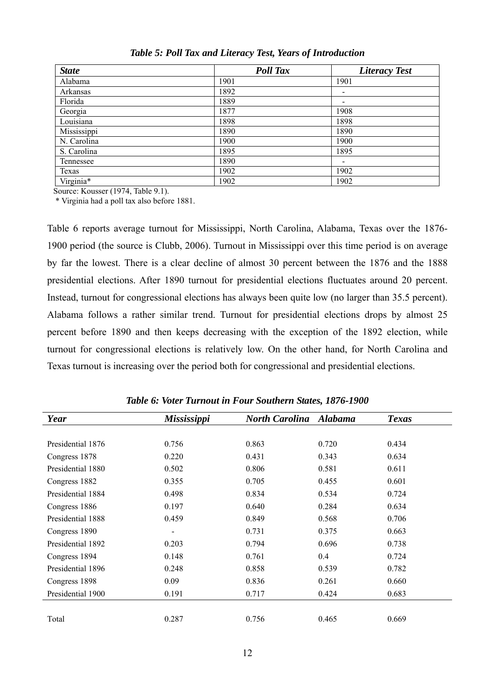| <b>State</b> | <b>Poll Tax</b> | <b>Literacy Test</b> |
|--------------|-----------------|----------------------|
| Alabama      | 1901            | 1901                 |
| Arkansas     | 1892            | ۰                    |
| Florida      | 1889            | ۰                    |
| Georgia      | 1877            | 1908                 |
| Louisiana    | 1898            | 1898                 |
| Mississippi  | 1890            | 1890                 |
| N. Carolina  | 1900            | 1900                 |
| S. Carolina  | 1895            | 1895                 |
| Tennessee    | 1890            |                      |
| Texas        | 1902            | 1902                 |
| Virginia*    | 1902            | 1902                 |

*Table 5: Poll Tax and Literacy Test, Years of Introduction*

Source: Kousser (1974, Table 9.1).

\* Virginia had a poll tax also before 1881.

Table 6 reports average turnout for Mississippi, North Carolina, Alabama, Texas over the 1876- 1900 period (the source is Clubb, 2006). Turnout in Mississippi over this time period is on average by far the lowest. There is a clear decline of almost 30 percent between the 1876 and the 1888 presidential elections. After 1890 turnout for presidential elections fluctuates around 20 percent. Instead, turnout for congressional elections has always been quite low (no larger than 35.5 percent). Alabama follows a rather similar trend. Turnout for presidential elections drops by almost 25 percent before 1890 and then keeps decreasing with the exception of the 1892 election, while turnout for congressional elections is relatively low. On the other hand, for North Carolina and Texas turnout is increasing over the period both for congressional and presidential elections.

| Year              | <b>Mississippi</b>           | North Carolina Alabama |       | <b>Texas</b> |
|-------------------|------------------------------|------------------------|-------|--------------|
|                   |                              |                        |       |              |
| Presidential 1876 | 0.756                        | 0.863                  | 0.720 | 0.434        |
| Congress 1878     | 0.220                        | 0.431                  | 0.343 | 0.634        |
| Presidential 1880 | 0.502                        | 0.806                  | 0.581 | 0.611        |
| Congress 1882     | 0.355                        | 0.705                  | 0.455 | 0.601        |
| Presidential 1884 | 0.498                        | 0.834                  | 0.534 | 0.724        |
| Congress 1886     | 0.197                        | 0.640                  | 0.284 | 0.634        |
| Presidential 1888 | 0.459                        | 0.849                  | 0.568 | 0.706        |
| Congress 1890     | $\qquad \qquad \blacksquare$ | 0.731                  | 0.375 | 0.663        |
| Presidential 1892 | 0.203                        | 0.794                  | 0.696 | 0.738        |
| Congress 1894     | 0.148                        | 0.761                  | 0.4   | 0.724        |
| Presidential 1896 | 0.248                        | 0.858                  | 0.539 | 0.782        |
| Congress 1898     | 0.09                         | 0.836                  | 0.261 | 0.660        |
| Presidential 1900 | 0.191                        | 0.717                  | 0.424 | 0.683        |
|                   |                              |                        |       |              |
| Total             | 0.287                        | 0.756                  | 0.465 | 0.669        |

*Table 6: Voter Turnout in Four Southern States, 1876-1900*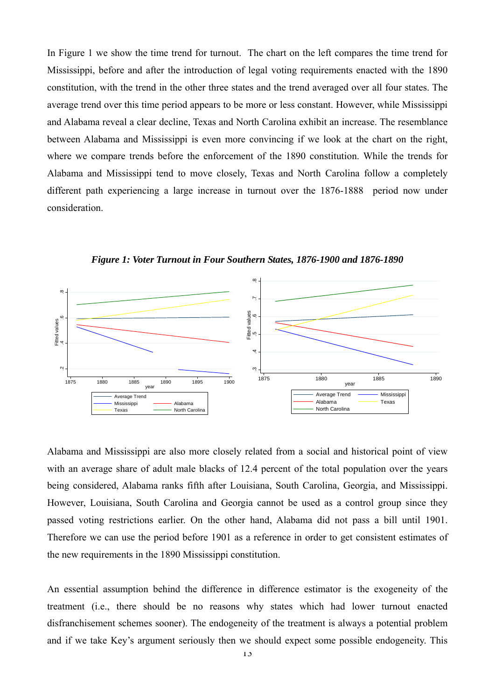In Figure 1 we show the time trend for turnout. The chart on the left compares the time trend for Mississippi, before and after the introduction of legal voting requirements enacted with the 1890 constitution, with the trend in the other three states and the trend averaged over all four states. The average trend over this time period appears to be more or less constant. However, while Mississippi and Alabama reveal a clear decline, Texas and North Carolina exhibit an increase. The resemblance between Alabama and Mississippi is even more convincing if we look at the chart on the right, where we compare trends before the enforcement of the 1890 constitution. While the trends for Alabama and Mississippi tend to move closely, Texas and North Carolina follow a completely different path experiencing a large increase in turnout over the 1876-1888 period now under consideration.



*Figure 1: Voter Turnout in Four Southern States, 1876-1900 and 1876-1890*

Alabama and Mississippi are also more closely related from a social and historical point of view with an average share of adult male blacks of 12.4 percent of the total population over the years being considered, Alabama ranks fifth after Louisiana, South Carolina, Georgia, and Mississippi. However, Louisiana, South Carolina and Georgia cannot be used as a control group since they passed voting restrictions earlier. On the other hand, Alabama did not pass a bill until 1901. Therefore we can use the period before 1901 as a reference in order to get consistent estimates of the new requirements in the 1890 Mississippi constitution.

An essential assumption behind the difference in difference estimator is the exogeneity of the treatment (i.e., there should be no reasons why states which had lower turnout enacted disfranchisement schemes sooner). The endogeneity of the treatment is always a potential problem and if we take Key's argument seriously then we should expect some possible endogeneity. This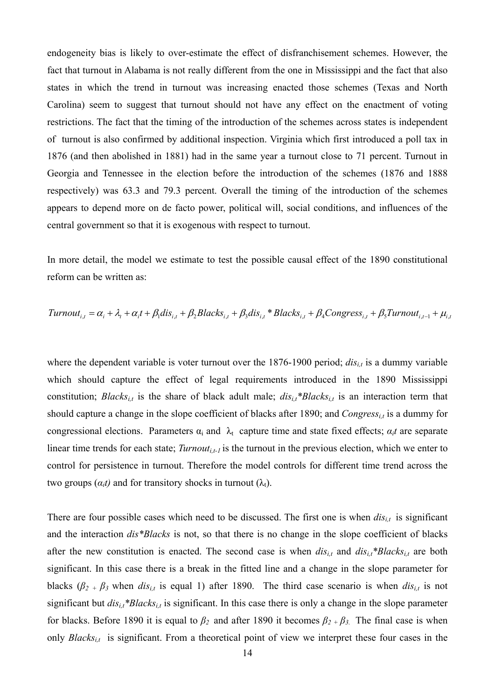endogeneity bias is likely to over-estimate the effect of disfranchisement schemes. However, the fact that turnout in Alabama is not really different from the one in Mississippi and the fact that also states in which the trend in turnout was increasing enacted those schemes (Texas and North Carolina) seem to suggest that turnout should not have any effect on the enactment of voting restrictions. The fact that the timing of the introduction of the schemes across states is independent of turnout is also confirmed by additional inspection. Virginia which first introduced a poll tax in 1876 (and then abolished in 1881) had in the same year a turnout close to 71 percent. Turnout in Georgia and Tennessee in the election before the introduction of the schemes (1876 and 1888 respectively) was 63.3 and 79.3 percent. Overall the timing of the introduction of the schemes appears to depend more on de facto power, political will, social conditions, and influences of the central government so that it is exogenous with respect to turnout.

In more detail, the model we estimate to test the possible causal effect of the 1890 constitutional reform can be written as:

Turnout<sub>i,t</sub> = 
$$
\alpha_i + \lambda_t + \alpha_i t + \beta_1 dis_{i,t} + \beta_2 Blacks_{i,t} + \beta_3 dis_{i,t} * Blacks_{i,t} + \beta_4 Congress_{i,t} + \beta_5 Turnout_{i,t-1} + \mu_{i,t-1} * \mu_{i,t-1} * \mu_{i,t-1} * \mu_{i,t-1} * \mu_{i,t-1} * \mu_{i,t-1} * \mu_{i,t-1} * \mu_{i,t-1} * \mu_{i,t-1} * \mu_{i,t-1} * \mu_{i,t-1} * \mu_{i,t-1} * \mu_{i,t-1} * \mu_{i,t-1} * \mu_{i,t-1} * \mu_{i,t-1} * \mu_{i,t-1} * \mu_{i,t-1} * \mu_{i,t-1} * \mu_{i,t-1} * \mu_{i,t-1} * \mu_{i,t-1} * \mu_{i,t-1} * \mu_{i,t-1} * \mu_{i,t-1} * \mu_{i,t-1} * \mu_{i,t-1} * \mu_{i,t-1} * \mu_{i,t-1} * \mu_{i,t-1} * \mu_{i,t-1} * \mu_{i,t-1} * \mu_{i,t-1} * \mu_{i,t-1} * \mu_{i,t-1} * \mu_{i,t-1} * \mu_{i,t-1} * \mu_{i,t-1} * \mu_{i,t-1} * \mu_{i,t-1} * \mu_{i,t-1} * \mu_{i,t-1} * \mu_{i,t-1} * \mu_{i,t-1} * \mu_{i,t-1} * \mu_{i,t-1} * \mu_{i,t-1} * \mu_{i,t-1} * \mu_{i,t-1} * \mu_{i,t-1} * \mu_{i,t-1} * \mu_{i,t-1} * \mu_{i,t-1} * \mu_{i,t-1} * \mu_{i,t-1} * \mu_{i,t-1} * \mu_{i,t-1} * \mu_{i,t-1} * \mu_{i,t-1} * \mu_{i,t-1} * \mu_{i,t-1} * \mu_{i,t-1} * \mu_{i,t-1} * \mu_{i,t-1} * \mu_{i,t-1} * \mu_{i,t-1} * \mu_{i,t-1} * \mu_{i,t-1} * \mu_{i,t-1} * \mu_{i,t-1} * \mu_{i,t-1} * \mu_{i,t-1} * \mu_{i,t-1} * \mu_{i,t-1} * \mu_{i,t-1} * \mu_{
$$

where the dependent variable is voter turnout over the  $1876-1900$  period;  $dis<sub>it</sub>$  is a dummy variable which should capture the effect of legal requirements introduced in the 1890 Mississippi constitution; *Blacks<sub>it</sub>* is the share of black adult male;  $dis_{i,t} * Blacks_{i,t}$  is an interaction term that should capture a change in the slope coefficient of blacks after 1890; and *Congress<sub>it</sub>* is a dummy for congressional elections. Parameters  $\alpha_i$  and  $\lambda_t$  capture time and state fixed effects;  $\alpha_i t$  are separate linear time trends for each state; *Turnout<sub>i,t-1</sub>* is the turnout in the previous election, which we enter to control for persistence in turnout. Therefore the model controls for different time trend across the two groups  $(a_i t)$  and for transitory shocks in turnout  $(\lambda_t)$ .

There are four possible cases which need to be discussed. The first one is when  $dis<sub>it</sub>$  is significant and the interaction *dis\*Blacks* is not, so that there is no change in the slope coefficient of blacks after the new constitution is enacted. The second case is when  $dis<sub>i,t</sub>$  and  $dis<sub>i,t</sub> * Blacks<sub>i,t</sub>$  are both significant. In this case there is a break in the fitted line and a change in the slope parameter for blacks  $(\beta_{2} + \beta_{3}$  when *dis<sub>it</sub>* is equal 1) after 1890. The third case scenario is when *dis<sub>it</sub>* is not significant but  $dis_{i,t} * Blacks_{i,t}$  is significant. In this case there is only a change in the slope parameter for blacks. Before 1890 it is equal to  $\beta_2$  and after 1890 it becomes  $\beta_2 + \beta_3$ . The final case is when only *Blacks<sub>i,t</sub>* is significant. From a theoretical point of view we interpret these four cases in the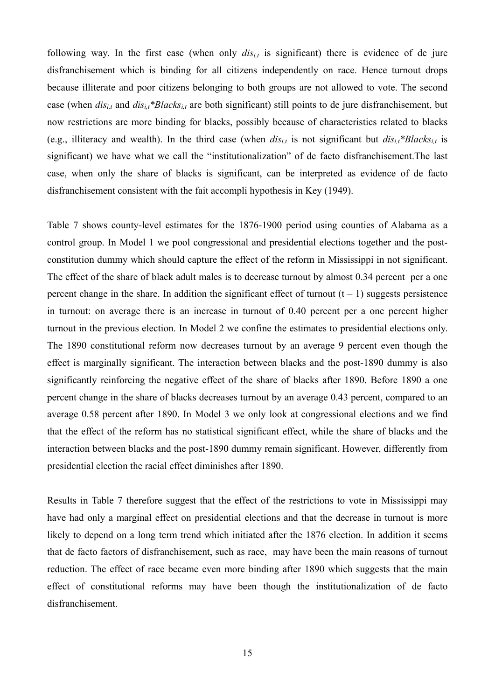following way. In the first case (when only  $dis<sub>i</sub>$  is significant) there is evidence of de jure disfranchisement which is binding for all citizens independently on race. Hence turnout drops because illiterate and poor citizens belonging to both groups are not allowed to vote. The second case (when *disi,t* and *disi,t\*Blacksi,t* are both significant) still points to de jure disfranchisement, but now restrictions are more binding for blacks, possibly because of characteristics related to blacks (e.g., illiteracy and wealth). In the third case (when  $dis_{i,t}$  is not significant but  $dis_{i,t} * Blacks_{i,t}$  is significant) we have what we call the "institutionalization" of de facto disfranchisement.The last case, when only the share of blacks is significant, can be interpreted as evidence of de facto disfranchisement consistent with the fait accompli hypothesis in Key (1949).

Table 7 shows county-level estimates for the 1876-1900 period using counties of Alabama as a control group. In Model 1 we pool congressional and presidential elections together and the postconstitution dummy which should capture the effect of the reform in Mississippi in not significant. The effect of the share of black adult males is to decrease turnout by almost 0.34 percent per a one percent change in the share. In addition the significant effect of turnout  $(t - 1)$  suggests persistence in turnout: on average there is an increase in turnout of 0.40 percent per a one percent higher turnout in the previous election. In Model 2 we confine the estimates to presidential elections only. The 1890 constitutional reform now decreases turnout by an average 9 percent even though the effect is marginally significant. The interaction between blacks and the post-1890 dummy is also significantly reinforcing the negative effect of the share of blacks after 1890. Before 1890 a one percent change in the share of blacks decreases turnout by an average 0.43 percent, compared to an average 0.58 percent after 1890. In Model 3 we only look at congressional elections and we find that the effect of the reform has no statistical significant effect, while the share of blacks and the interaction between blacks and the post-1890 dummy remain significant. However, differently from presidential election the racial effect diminishes after 1890.

Results in Table 7 therefore suggest that the effect of the restrictions to vote in Mississippi may have had only a marginal effect on presidential elections and that the decrease in turnout is more likely to depend on a long term trend which initiated after the 1876 election. In addition it seems that de facto factors of disfranchisement, such as race, may have been the main reasons of turnout reduction. The effect of race became even more binding after 1890 which suggests that the main effect of constitutional reforms may have been though the institutionalization of de facto disfranchisement.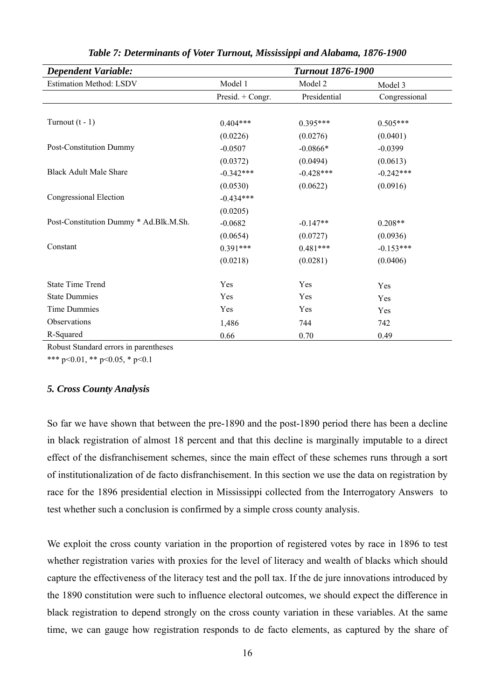| <b>Dependent Variable:</b>             | <b>Turnout 1876-1900</b> |              |               |  |  |
|----------------------------------------|--------------------------|--------------|---------------|--|--|
| <b>Estimation Method: LSDV</b>         | Model 1                  | Model 2      | Model 3       |  |  |
|                                        | Presid. + Congr.         | Presidential | Congressional |  |  |
|                                        |                          |              |               |  |  |
| Turnout $(t - 1)$                      | $0.404***$               | $0.395***$   | $0.505***$    |  |  |
|                                        | (0.0226)                 | (0.0276)     | (0.0401)      |  |  |
| Post-Constitution Dummy                | $-0.0507$                | $-0.0866*$   | $-0.0399$     |  |  |
|                                        | (0.0372)                 | (0.0494)     | (0.0613)      |  |  |
| <b>Black Adult Male Share</b>          | $-0.342***$              | $-0.428***$  | $-0.242***$   |  |  |
|                                        | (0.0530)                 | (0.0622)     | (0.0916)      |  |  |
| Congressional Election                 | $-0.434***$              |              |               |  |  |
|                                        | (0.0205)                 |              |               |  |  |
| Post-Constitution Dummy * Ad.Blk.M.Sh. | $-0.0682$                | $-0.147**$   | $0.208**$     |  |  |
|                                        | (0.0654)                 | (0.0727)     | (0.0936)      |  |  |
| Constant                               | $0.391***$               | $0.481***$   | $-0.153***$   |  |  |
|                                        | (0.0218)                 | (0.0281)     | (0.0406)      |  |  |
| <b>State Time Trend</b>                | Yes                      | Yes          | Yes           |  |  |
| <b>State Dummies</b>                   | Yes                      | Yes          | Yes           |  |  |
| Time Dummies                           | Yes                      | Yes          | Yes           |  |  |
| Observations                           | 1,486                    | 744          | 742           |  |  |
| R-Squared                              | 0.66                     | 0.70         | 0.49          |  |  |

*Table 7: Determinants of Voter Turnout, Mississippi and Alabama, 1876-1900* 

Robust Standard errors in parentheses

\*\*\* p<0.01, \*\* p<0.05, \* p<0.1

# *5. Cross County Analysis*

So far we have shown that between the pre-1890 and the post-1890 period there has been a decline in black registration of almost 18 percent and that this decline is marginally imputable to a direct effect of the disfranchisement schemes, since the main effect of these schemes runs through a sort of institutionalization of de facto disfranchisement. In this section we use the data on registration by race for the 1896 presidential election in Mississippi collected from the Interrogatory Answers to test whether such a conclusion is confirmed by a simple cross county analysis.

We exploit the cross county variation in the proportion of registered votes by race in 1896 to test whether registration varies with proxies for the level of literacy and wealth of blacks which should capture the effectiveness of the literacy test and the poll tax. If the de jure innovations introduced by the 1890 constitution were such to influence electoral outcomes, we should expect the difference in black registration to depend strongly on the cross county variation in these variables. At the same time, we can gauge how registration responds to de facto elements, as captured by the share of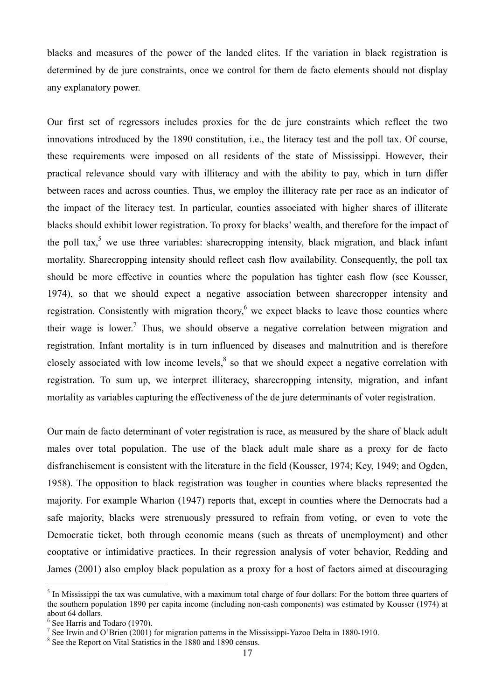blacks and measures of the power of the landed elites. If the variation in black registration is determined by de jure constraints, once we control for them de facto elements should not display any explanatory power.

Our first set of regressors includes proxies for the de jure constraints which reflect the two innovations introduced by the 1890 constitution, i.e., the literacy test and the poll tax. Of course, these requirements were imposed on all residents of the state of Mississippi. However, their practical relevance should vary with illiteracy and with the ability to pay, which in turn differ between races and across counties. Thus, we employ the illiteracy rate per race as an indicator of the impact of the literacy test. In particular, counties associated with higher shares of illiterate blacks should exhibit lower registration. To proxy for blacks' wealth, and therefore for the impact of the poll tax,<sup>5</sup> we use three variables: sharecropping intensity, black migration, and black infant mortality. Sharecropping intensity should reflect cash flow availability. Consequently, the poll tax should be more effective in counties where the population has tighter cash flow (see Kousser, 1974), so that we should expect a negative association between sharecropper intensity and registration. Consistently with migration theory, $6$  we expect blacks to leave those counties where their wage is lower.<sup>7</sup> Thus, we should observe a negative correlation between migration and registration. Infant mortality is in turn influenced by diseases and malnutrition and is therefore closely associated with low income levels, ${}^{8}$  so that we should expect a negative correlation with registration. To sum up, we interpret illiteracy, sharecropping intensity, migration, and infant mortality as variables capturing the effectiveness of the de jure determinants of voter registration.

Our main de facto determinant of voter registration is race, as measured by the share of black adult males over total population. The use of the black adult male share as a proxy for de facto disfranchisement is consistent with the literature in the field (Kousser, 1974; Key, 1949; and Ogden, 1958). The opposition to black registration was tougher in counties where blacks represented the majority. For example Wharton (1947) reports that, except in counties where the Democrats had a safe majority, blacks were strenuously pressured to refrain from voting, or even to vote the Democratic ticket, both through economic means (such as threats of unemployment) and other cooptative or intimidative practices. In their regression analysis of voter behavior, Redding and James (2001) also employ black population as a proxy for a host of factors aimed at discouraging

 $<sup>5</sup>$  In Mississippi the tax was cumulative, with a maximum total charge of four dollars: For the bottom three quarters of</sup> the southern population 1890 per capita income (including non-cash components) was estimated by Kousser (1974) at about 64 dollars.

<sup>6</sup> See Harris and Todaro (1970).

<sup>&</sup>lt;sup>7</sup> See Irwin and O'Brien (2001) for migration patterns in the Mississippi-Yazoo Delta in 1880-1910.

<sup>8</sup> See the Report on Vital Statistics in the 1880 and 1890 census.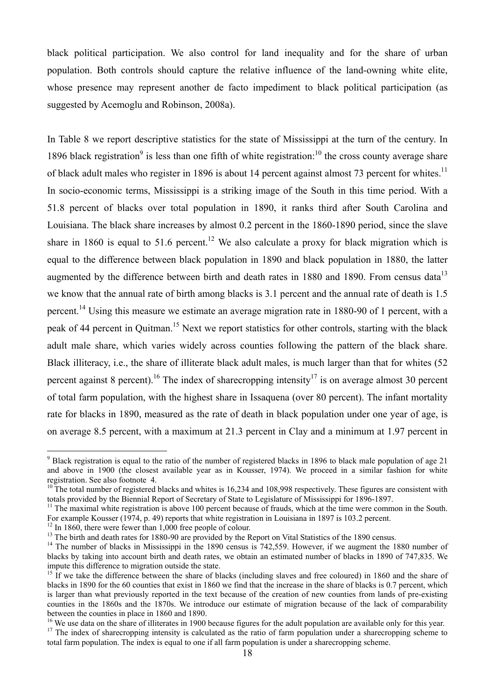black political participation. We also control for land inequality and for the share of urban population. Both controls should capture the relative influence of the land-owning white elite, whose presence may represent another de facto impediment to black political participation (as suggested by Acemoglu and Robinson, 2008a).

In Table 8 we report descriptive statistics for the state of Mississippi at the turn of the century. In 1896 black registration<sup>9</sup> is less than one fifth of white registration:<sup>10</sup> the cross county average share of black adult males who register in 1896 is about 14 percent against almost 73 percent for whites.<sup>11</sup> In socio-economic terms, Mississippi is a striking image of the South in this time period. With a 51.8 percent of blacks over total population in 1890, it ranks third after South Carolina and Louisiana. The black share increases by almost 0.2 percent in the 1860-1890 period, since the slave share in 1860 is equal to 51.6 percent.<sup>12</sup> We also calculate a proxy for black migration which is equal to the difference between black population in 1890 and black population in 1880, the latter augmented by the difference between birth and death rates in 1880 and 1890. From census data<sup>13</sup> we know that the annual rate of birth among blacks is 3.1 percent and the annual rate of death is 1.5 percent.<sup>14</sup> Using this measure we estimate an average migration rate in 1880-90 of 1 percent, with a peak of 44 percent in Quitman.<sup>15</sup> Next we report statistics for other controls, starting with the black adult male share, which varies widely across counties following the pattern of the black share. Black illiteracy, i.e., the share of illiterate black adult males, is much larger than that for whites (52 percent against 8 percent).<sup>16</sup> The index of sharecropping intensity<sup>17</sup> is on average almost 30 percent of total farm population, with the highest share in Issaquena (over 80 percent). The infant mortality rate for blacks in 1890, measured as the rate of death in black population under one year of age, is on average 8.5 percent, with a maximum at 21.3 percent in Clay and a minimum at 1.97 percent in

<sup>&</sup>lt;sup>9</sup> Black registration is equal to the ratio of the number of registered blacks in 1896 to black male population of age 21 and above in 1900 (the closest available year as in Kousser, 1974). We proceed in a similar fashion for white registration. See also footnote 4.

 $10$ <sup>The</sup> total number of registered blacks and whites is 16,234 and 108,998 respectively. These figures are consistent with totals provided by the Biennial Report of Secretary of State to Legislature of Mississippi for 1896-1897.

<sup>&</sup>lt;sup>11</sup> The maximal white registration is above 100 percent because of frauds, which at the time were common in the South. For example Kousser (1974, p. 49) reports that white registration in Louisiana in 1897 is 103.2 percent.

<sup>&</sup>lt;sup>12</sup> In 1860, there were fewer than 1,000 free people of colour.

<sup>&</sup>lt;sup>13</sup> The birth and death rates for 1880-90 are provided by the Report on Vital Statistics of the 1890 census.

<sup>&</sup>lt;sup>14</sup> The number of blacks in Mississippi in the 1890 census is 742,559. However, if we augment the 1880 number of blacks by taking into account birth and death rates, we obtain an estimated number of blacks in 1890 of 747,835. We impute this difference to migration outside the state.

<sup>&</sup>lt;sup>15</sup> If we take the difference between the share of blacks (including slaves and free coloured) in 1860 and the share of blacks in 1890 for the 60 counties that exist in 1860 we find that the increase in the share of blacks is 0.7 percent, which is larger than what previously reported in the text because of the creation of new counties from lands of pre-existing counties in the 1860s and the 1870s. We introduce our estimate of migration because of the lack of comparability between the counties in place in 1860 and 1890.<br><sup>16</sup> We use data on the share of illiterates in 1900 because figures for the adult population are available only for this year.

<sup>&</sup>lt;sup>17</sup> The index of sharecropping intensity is calculated as the ratio of farm population under a sharecropping scheme to total farm population. The index is equal to one if all farm population is under a sharecropping scheme.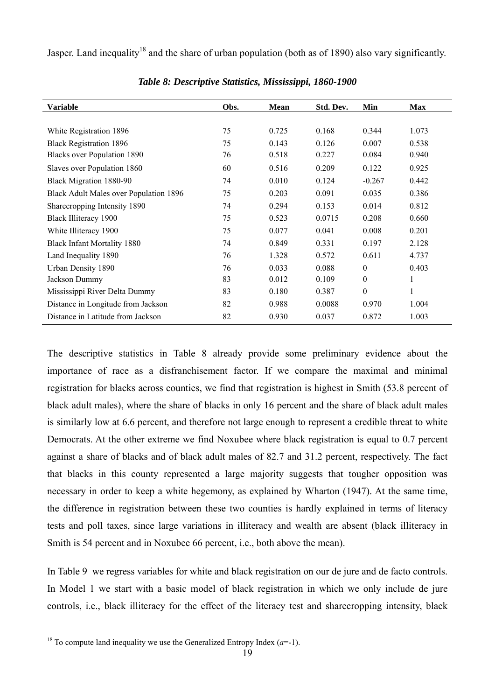Jasper. Land inequality<sup>18</sup> and the share of urban population (both as of 1890) also vary significantly.

| <b>Variable</b>                               | Obs. | <b>Mean</b> | Std. Dev. | Min      | <b>Max</b> |
|-----------------------------------------------|------|-------------|-----------|----------|------------|
|                                               |      |             |           |          |            |
| White Registration 1896                       | 75   | 0.725       | 0.168     | 0.344    | 1.073      |
| <b>Black Registration 1896</b>                | 75   | 0.143       | 0.126     | 0.007    | 0.538      |
| <b>Blacks over Population 1890</b>            | 76   | 0.518       | 0.227     | 0.084    | 0.940      |
| Slaves over Population 1860                   | 60   | 0.516       | 0.209     | 0.122    | 0.925      |
| Black Migration 1880-90                       | 74   | 0.010       | 0.124     | $-0.267$ | 0.442      |
| <b>Black Adult Males over Population 1896</b> | 75   | 0.203       | 0.091     | 0.035    | 0.386      |
| Sharecropping Intensity 1890                  | 74   | 0.294       | 0.153     | 0.014    | 0.812      |
| <b>Black Illiteracy 1900</b>                  | 75   | 0.523       | 0.0715    | 0.208    | 0.660      |
| White Illiteracy 1900                         | 75   | 0.077       | 0.041     | 0.008    | 0.201      |
| <b>Black Infant Mortality 1880</b>            | 74   | 0.849       | 0.331     | 0.197    | 2.128      |
| Land Inequality 1890                          | 76   | 1.328       | 0.572     | 0.611    | 4.737      |
| Urban Density 1890                            | 76   | 0.033       | 0.088     | $\theta$ | 0.403      |
| Jackson Dummy                                 | 83   | 0.012       | 0.109     | $\theta$ | 1          |
| Mississippi River Delta Dummy                 | 83   | 0.180       | 0.387     | $\theta$ | 1          |
| Distance in Longitude from Jackson            | 82   | 0.988       | 0.0088    | 0.970    | 1.004      |
| Distance in Latitude from Jackson             | 82   | 0.930       | 0.037     | 0.872    | 1.003      |

*Table 8: Descriptive Statistics, Mississippi, 1860-1900* 

The descriptive statistics in Table 8 already provide some preliminary evidence about the importance of race as a disfranchisement factor. If we compare the maximal and minimal registration for blacks across counties, we find that registration is highest in Smith (53.8 percent of black adult males), where the share of blacks in only 16 percent and the share of black adult males is similarly low at 6.6 percent, and therefore not large enough to represent a credible threat to white Democrats. At the other extreme we find Noxubee where black registration is equal to 0.7 percent against a share of blacks and of black adult males of 82.7 and 31.2 percent, respectively. The fact that blacks in this county represented a large majority suggests that tougher opposition was necessary in order to keep a white hegemony, as explained by Wharton (1947). At the same time, the difference in registration between these two counties is hardly explained in terms of literacy tests and poll taxes, since large variations in illiteracy and wealth are absent (black illiteracy in Smith is 54 percent and in Noxubee 66 percent, i.e., both above the mean).

In Table 9 we regress variables for white and black registration on our de jure and de facto controls. In Model 1 we start with a basic model of black registration in which we only include de jure controls, i.e., black illiteracy for the effect of the literacy test and sharecropping intensity, black

<sup>&</sup>lt;sup>18</sup> To compute land inequality we use the Generalized Entropy Index  $(a=1)$ .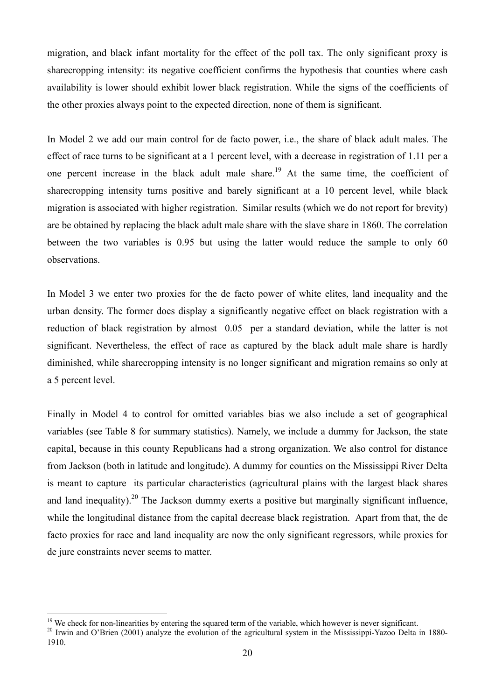migration, and black infant mortality for the effect of the poll tax. The only significant proxy is sharecropping intensity: its negative coefficient confirms the hypothesis that counties where cash availability is lower should exhibit lower black registration. While the signs of the coefficients of the other proxies always point to the expected direction, none of them is significant.

In Model 2 we add our main control for de facto power, i.e., the share of black adult males. The effect of race turns to be significant at a 1 percent level, with a decrease in registration of 1.11 per a one percent increase in the black adult male share.<sup>19</sup> At the same time, the coefficient of sharecropping intensity turns positive and barely significant at a 10 percent level, while black migration is associated with higher registration. Similar results (which we do not report for brevity) are be obtained by replacing the black adult male share with the slave share in 1860. The correlation between the two variables is 0.95 but using the latter would reduce the sample to only 60 observations.

In Model 3 we enter two proxies for the de facto power of white elites, land inequality and the urban density. The former does display a significantly negative effect on black registration with a reduction of black registration by almost 0.05 per a standard deviation, while the latter is not significant. Nevertheless, the effect of race as captured by the black adult male share is hardly diminished, while sharecropping intensity is no longer significant and migration remains so only at a 5 percent level.

Finally in Model 4 to control for omitted variables bias we also include a set of geographical variables (see Table 8 for summary statistics). Namely, we include a dummy for Jackson, the state capital, because in this county Republicans had a strong organization. We also control for distance from Jackson (both in latitude and longitude). A dummy for counties on the Mississippi River Delta is meant to capture its particular characteristics (agricultural plains with the largest black shares and land inequality).<sup>20</sup> The Jackson dummy exerts a positive but marginally significant influence, while the longitudinal distance from the capital decrease black registration. Apart from that, the de facto proxies for race and land inequality are now the only significant regressors, while proxies for de jure constraints never seems to matter.

<sup>&</sup>lt;sup>19</sup> We check for non-linearities by entering the squared term of the variable, which however is never significant.<br><sup>20</sup> Irwin and O'Brien (2001) analyze the evolution of the agricultural system in the Mississippi-Yazoo D 1910.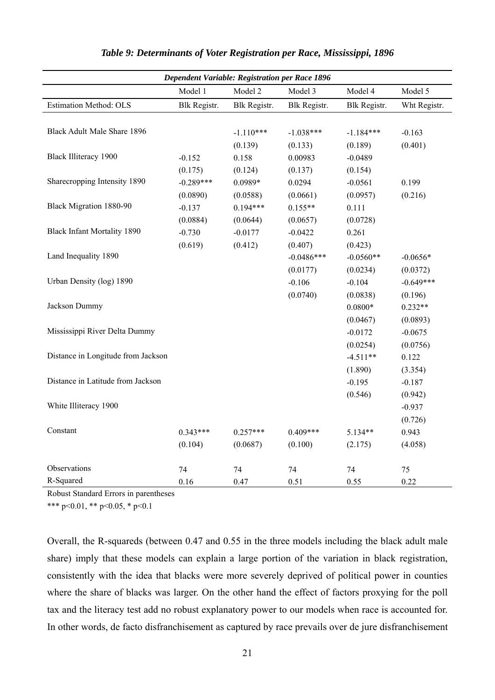| <b>Dependent Variable: Registration per Race 1896</b> |              |              |              |              |              |
|-------------------------------------------------------|--------------|--------------|--------------|--------------|--------------|
|                                                       | Model 1      | Model 2      | Model 3      | Model 4      | Model 5      |
| Estimation Method: OLS                                | Blk Registr. | Blk Registr. | Blk Registr. | Blk Registr. | Wht Registr. |
|                                                       |              |              |              |              |              |
| Black Adult Male Share 1896                           |              | $-1.110***$  | $-1.038***$  | $-1.184***$  | $-0.163$     |
|                                                       |              | (0.139)      | (0.133)      | (0.189)      | (0.401)      |
| <b>Black Illiteracy 1900</b>                          | $-0.152$     | 0.158        | 0.00983      | $-0.0489$    |              |
|                                                       | (0.175)      | (0.124)      | (0.137)      | (0.154)      |              |
| Sharecropping Intensity 1890                          | $-0.289***$  | 0.0989*      | 0.0294       | $-0.0561$    | 0.199        |
|                                                       | (0.0890)     | (0.0588)     | (0.0661)     | (0.0957)     | (0.216)      |
| Black Migration 1880-90                               | $-0.137$     | $0.194***$   | $0.155**$    | 0.111        |              |
|                                                       | (0.0884)     | (0.0644)     | (0.0657)     | (0.0728)     |              |
| <b>Black Infant Mortality 1890</b>                    | $-0.730$     | $-0.0177$    | $-0.0422$    | 0.261        |              |
|                                                       | (0.619)      | (0.412)      | (0.407)      | (0.423)      |              |
| Land Inequality 1890                                  |              |              | $-0.0486***$ | $-0.0560**$  | $-0.0656*$   |
|                                                       |              |              | (0.0177)     | (0.0234)     | (0.0372)     |
| Urban Density (log) 1890                              |              |              | $-0.106$     | $-0.104$     | $-0.649***$  |
|                                                       |              |              | (0.0740)     | (0.0838)     | (0.196)      |
| Jackson Dummy                                         |              |              |              | $0.0800*$    | $0.232**$    |
|                                                       |              |              |              | (0.0467)     | (0.0893)     |
| Mississippi River Delta Dummy                         |              |              |              | $-0.0172$    | $-0.0675$    |
|                                                       |              |              |              | (0.0254)     | (0.0756)     |
| Distance in Longitude from Jackson                    |              |              |              | $-4.511**$   | 0.122        |
|                                                       |              |              |              | (1.890)      | (3.354)      |
| Distance in Latitude from Jackson                     |              |              |              | $-0.195$     | $-0.187$     |
|                                                       |              |              |              | (0.546)      | (0.942)      |
| White Illiteracy 1900                                 |              |              |              |              | $-0.937$     |
|                                                       |              |              |              |              | (0.726)      |
| Constant                                              | $0.343***$   | $0.257***$   | $0.409***$   | 5.134**      | 0.943        |
|                                                       | (0.104)      | (0.0687)     | (0.100)      | (2.175)      | (4.058)      |
| Observations                                          | 74           | 74           | 74           | 74           | 75           |
| R-Squared                                             | 0.16         | 0.47         | 0.51         | 0.55         | 0.22         |

## *Table 9: Determinants of Voter Registration per Race, Mississippi, 1896*

Robust Standard Errors in parentheses

\*\*\* p<0.01, \*\* p<0.05, \* p<0.1

Overall, the R-squareds (between 0.47 and 0.55 in the three models including the black adult male share) imply that these models can explain a large portion of the variation in black registration, consistently with the idea that blacks were more severely deprived of political power in counties where the share of blacks was larger. On the other hand the effect of factors proxying for the poll tax and the literacy test add no robust explanatory power to our models when race is accounted for. In other words, de facto disfranchisement as captured by race prevails over de jure disfranchisement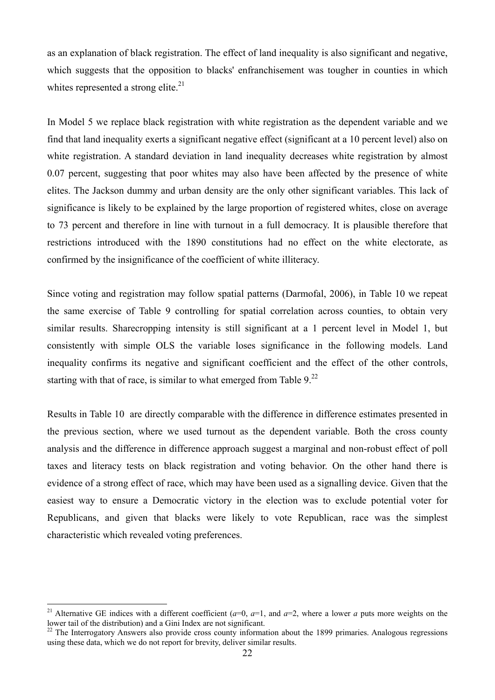as an explanation of black registration. The effect of land inequality is also significant and negative, which suggests that the opposition to blacks' enfranchisement was tougher in counties in which whites represented a strong elite. $^{21}$ 

In Model 5 we replace black registration with white registration as the dependent variable and we find that land inequality exerts a significant negative effect (significant at a 10 percent level) also on white registration. A standard deviation in land inequality decreases white registration by almost 0.07 percent, suggesting that poor whites may also have been affected by the presence of white elites. The Jackson dummy and urban density are the only other significant variables. This lack of significance is likely to be explained by the large proportion of registered whites, close on average to 73 percent and therefore in line with turnout in a full democracy. It is plausible therefore that restrictions introduced with the 1890 constitutions had no effect on the white electorate, as confirmed by the insignificance of the coefficient of white illiteracy.

Since voting and registration may follow spatial patterns (Darmofal, 2006), in Table 10 we repeat the same exercise of Table 9 controlling for spatial correlation across counties, to obtain very similar results. Sharecropping intensity is still significant at a 1 percent level in Model 1, but consistently with simple OLS the variable loses significance in the following models. Land inequality confirms its negative and significant coefficient and the effect of the other controls, starting with that of race, is similar to what emerged from Table  $9<sup>22</sup>$ 

Results in Table 10 are directly comparable with the difference in difference estimates presented in the previous section, where we used turnout as the dependent variable. Both the cross county analysis and the difference in difference approach suggest a marginal and non-robust effect of poll taxes and literacy tests on black registration and voting behavior. On the other hand there is evidence of a strong effect of race, which may have been used as a signalling device. Given that the easiest way to ensure a Democratic victory in the election was to exclude potential voter for Republicans, and given that blacks were likely to vote Republican, race was the simplest characteristic which revealed voting preferences.

<sup>&</sup>lt;sup>21</sup> Alternative GE indices with a different coefficient ( $a=0$ ,  $a=1$ , and  $a=2$ , where a lower *a* puts more weights on the lower tail of the distribution) and a Gini Index are not significant.

 $^{22}$  The Interrogatory Answers also provide cross county information about the 1899 primaries. Analogous regressions using these data, which we do not report for brevity, deliver similar results.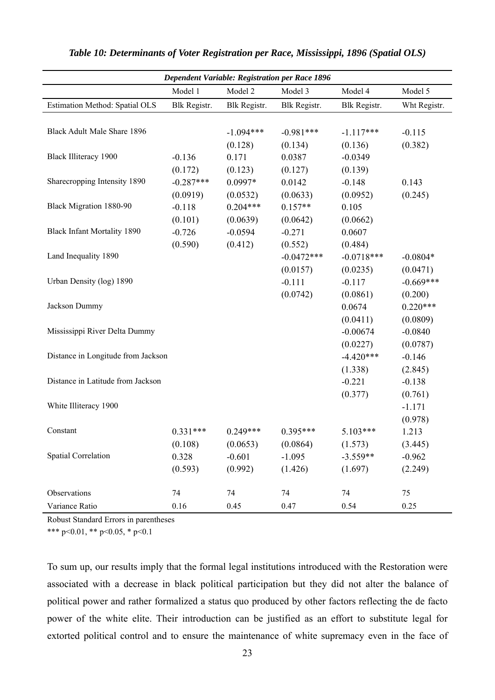|                                       |              |              | <b>Dependent Variable: Registration per Race 1896</b> |              |              |
|---------------------------------------|--------------|--------------|-------------------------------------------------------|--------------|--------------|
|                                       | Model 1      | Model 2      | Model 3                                               | Model 4      | Model 5      |
| <b>Estimation Method: Spatial OLS</b> | Blk Registr. | Blk Registr. | Blk Registr.                                          | Blk Registr. | Wht Registr. |
| <b>Black Adult Male Share 1896</b>    |              | $-1.094***$  | $-0.981***$                                           | $-1.117***$  | $-0.115$     |
|                                       |              | (0.128)      | (0.134)                                               | (0.136)      | (0.382)      |
| <b>Black Illiteracy 1900</b>          | $-0.136$     | 0.171        | 0.0387                                                | $-0.0349$    |              |
|                                       | (0.172)      | (0.123)      | (0.127)                                               | (0.139)      |              |
| Sharecropping Intensity 1890          | $-0.287***$  | 0.0997*      | 0.0142                                                | $-0.148$     | 0.143        |
|                                       | (0.0919)     | (0.0532)     | (0.0633)                                              | (0.0952)     | (0.245)      |
| Black Migration 1880-90               | $-0.118$     | $0.204***$   | $0.157**$                                             | 0.105        |              |
|                                       | (0.101)      | (0.0639)     | (0.0642)                                              | (0.0662)     |              |
| <b>Black Infant Mortality 1890</b>    | $-0.726$     | $-0.0594$    | $-0.271$                                              | 0.0607       |              |
|                                       | (0.590)      | (0.412)      | (0.552)                                               | (0.484)      |              |
| Land Inequality 1890                  |              |              | $-0.0472***$                                          | $-0.0718***$ | $-0.0804*$   |
|                                       |              |              | (0.0157)                                              | (0.0235)     | (0.0471)     |
| Urban Density (log) 1890              |              |              | $-0.111$                                              | $-0.117$     | $-0.669***$  |
|                                       |              |              | (0.0742)                                              | (0.0861)     | (0.200)      |
| Jackson Dummy                         |              |              |                                                       | 0.0674       | $0.220***$   |
|                                       |              |              |                                                       | (0.0411)     | (0.0809)     |
| Mississippi River Delta Dummy         |              |              |                                                       | $-0.00674$   | $-0.0840$    |
|                                       |              |              |                                                       | (0.0227)     | (0.0787)     |
| Distance in Longitude from Jackson    |              |              |                                                       | $-4.420***$  | $-0.146$     |
|                                       |              |              |                                                       | (1.338)      | (2.845)      |
| Distance in Latitude from Jackson     |              |              |                                                       | $-0.221$     | $-0.138$     |
|                                       |              |              |                                                       | (0.377)      | (0.761)      |
| White Illiteracy 1900                 |              |              |                                                       |              | $-1.171$     |
|                                       |              |              |                                                       |              | (0.978)      |
| Constant                              | $0.331***$   | $0.249***$   | $0.395***$                                            | $5.103***$   | 1.213        |
|                                       | (0.108)      | (0.0653)     | (0.0864)                                              | (1.573)      | (3.445)      |
| Spatial Correlation                   | 0.328        | $-0.601$     | $-1.095$                                              | $-3.559**$   | $-0.962$     |
|                                       | (0.593)      | (0.992)      | (1.426)                                               | (1.697)      | (2.249)      |
| Observations                          | 74           | 74           | 74                                                    | 74           | 75           |
| Variance Ratio                        | 0.16         | 0.45         | 0.47                                                  | 0.54         | 0.25         |

Robust Standard Errors in parentheses

\*\*\* p<0.01, \*\* p<0.05, \* p<0.1

To sum up, our results imply that the formal legal institutions introduced with the Restoration were associated with a decrease in black political participation but they did not alter the balance of political power and rather formalized a status quo produced by other factors reflecting the de facto power of the white elite. Their introduction can be justified as an effort to substitute legal for extorted political control and to ensure the maintenance of white supremacy even in the face of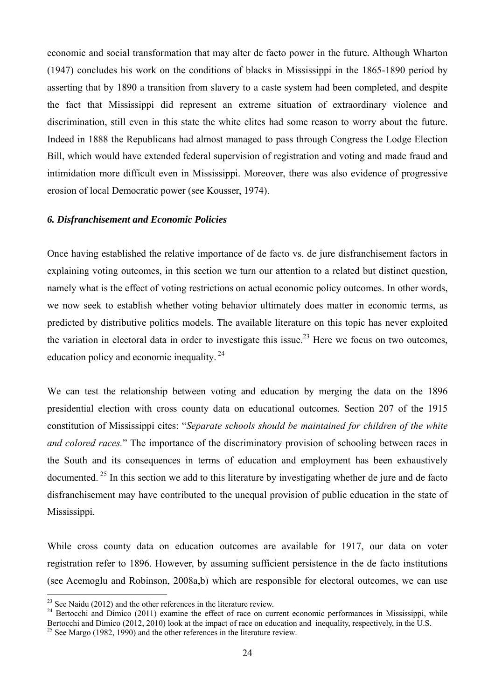economic and social transformation that may alter de facto power in the future. Although Wharton (1947) concludes his work on the conditions of blacks in Mississippi in the 1865-1890 period by asserting that by 1890 a transition from slavery to a caste system had been completed, and despite the fact that Mississippi did represent an extreme situation of extraordinary violence and discrimination, still even in this state the white elites had some reason to worry about the future. Indeed in 1888 the Republicans had almost managed to pass through Congress the Lodge Election Bill, which would have extended federal supervision of registration and voting and made fraud and intimidation more difficult even in Mississippi. Moreover, there was also evidence of progressive erosion of local Democratic power (see Kousser, 1974).

#### *6. Disfranchisement and Economic Policies*

Once having established the relative importance of de facto vs. de jure disfranchisement factors in explaining voting outcomes, in this section we turn our attention to a related but distinct question, namely what is the effect of voting restrictions on actual economic policy outcomes. In other words, we now seek to establish whether voting behavior ultimately does matter in economic terms, as predicted by distributive politics models. The available literature on this topic has never exploited the variation in electoral data in order to investigate this issue.<sup>23</sup> Here we focus on two outcomes, education policy and economic inequality.<sup>24</sup>

We can test the relationship between voting and education by merging the data on the 1896 presidential election with cross county data on educational outcomes. Section 207 of the 1915 constitution of Mississippi cites: "*Separate schools should be maintained for children of the white and colored races.*" The importance of the discriminatory provision of schooling between races in the South and its consequences in terms of education and employment has been exhaustively documented.<sup>25</sup> In this section we add to this literature by investigating whether de jure and de facto disfranchisement may have contributed to the unequal provision of public education in the state of Mississippi.

While cross county data on education outcomes are available for 1917, our data on voter registration refer to 1896. However, by assuming sufficient persistence in the de facto institutions (see Acemoglu and Robinson, 2008a,b) which are responsible for electoral outcomes, we can use

 $23$  See Naidu (2012) and the other references in the literature review.

 $24$  Bertocchi and Dimico (2011) examine the effect of race on current economic performances in Mississippi, while Bertocchi and Dimico (2012, 2010) look at the impact of race on education and inequality, respectively, in the U.S. <sup>25</sup> See Margo (1982, 1990) and the other references in the literature review.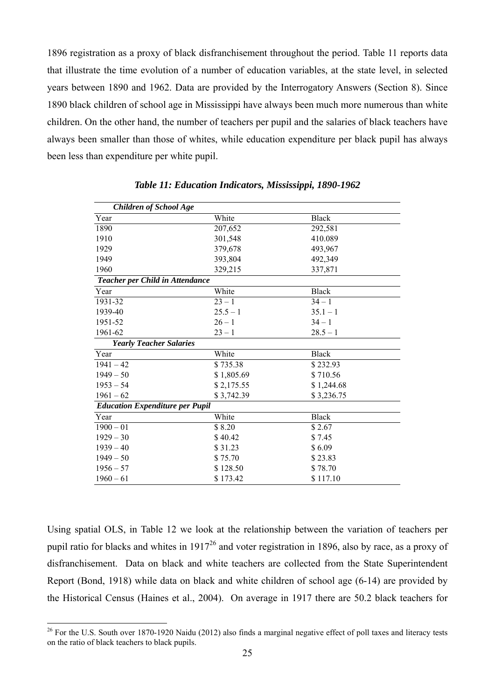1896 registration as a proxy of black disfranchisement throughout the period. Table 11 reports data that illustrate the time evolution of a number of education variables, at the state level, in selected years between 1890 and 1962. Data are provided by the Interrogatory Answers (Section 8). Since 1890 black children of school age in Mississippi have always been much more numerous than white children. On the other hand, the number of teachers per pupil and the salaries of black teachers have always been smaller than those of whites, while education expenditure per black pupil has always been less than expenditure per white pupil.

| <b>Children of School Age</b>          |            |              |  |
|----------------------------------------|------------|--------------|--|
| Year                                   | White      | <b>Black</b> |  |
| 1890                                   | 207,652    | 292,581      |  |
| 1910                                   | 301,548    | 410.089      |  |
| 1929                                   | 379,678    | 493,967      |  |
| 1949                                   | 393,804    | 492,349      |  |
| 1960                                   | 329,215    | 337,871      |  |
| Teacher per Child in Attendance        |            |              |  |
| Year                                   | White      | <b>Black</b> |  |
| 1931-32                                | $23 - 1$   | $34 - 1$     |  |
| 1939-40                                | $25.5 - 1$ | $35.1 - 1$   |  |
| 1951-52                                | $26 - 1$   | $34 - 1$     |  |
| 1961-62                                | $23 - 1$   | $28.5 - 1$   |  |
| <b>Yearly Teacher Salaries</b>         |            |              |  |
| Year                                   | White      | <b>Black</b> |  |
| $1941 - 42$                            | \$735.38   | \$232.93     |  |
| $1949 - 50$                            | \$1,805.69 | \$710.56     |  |
| $1953 - 54$                            | \$2,175.55 | \$1,244.68   |  |
| $1961 - 62$                            | \$3,742.39 | \$3,236.75   |  |
| <b>Education Expenditure per Pupil</b> |            |              |  |
| Year                                   | White      | <b>Black</b> |  |
| $1900 - 01$                            | \$8.20     | \$2.67       |  |
| $1929 - 30$                            | \$40.42    | \$7.45       |  |
| $1939 - 40$                            | \$31.23    | \$6.09       |  |
| $1949 - 50$                            | \$75.70    | \$23.83      |  |
| $1956 - 57$                            | \$128.50   | \$78.70      |  |
| $1960 - 61$                            | \$173.42   | \$117.10     |  |

*Table 11: Education Indicators, Mississippi, 1890-1962* 

Using spatial OLS, in Table 12 we look at the relationship between the variation of teachers per pupil ratio for blacks and whites in 191726 and voter registration in 1896, also by race, as a proxy of disfranchisement. Data on black and white teachers are collected from the State Superintendent Report (Bond, 1918) while data on black and white children of school age (6-14) are provided by the Historical Census (Haines et al., 2004). On average in 1917 there are 50.2 black teachers for

 $26$  For the U.S. South over 1870-1920 Naidu (2012) also finds a marginal negative effect of poll taxes and literacy tests on the ratio of black teachers to black pupils.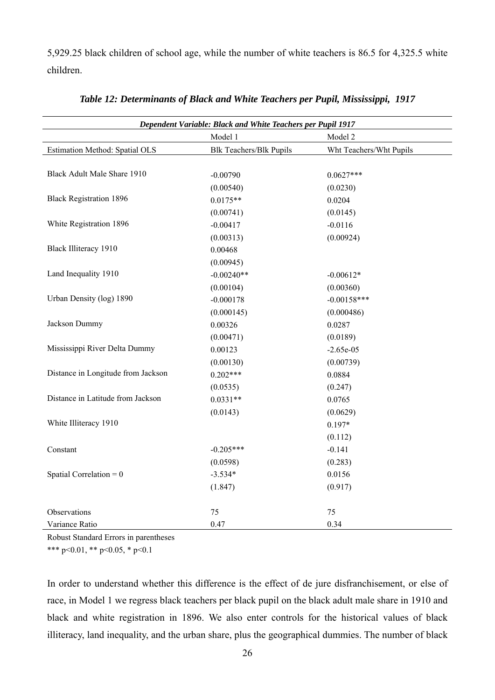5,929.25 black children of school age, while the number of white teachers is 86.5 for 4,325.5 white children.

| <b>Dependent Variable: Black and White Teachers per Pupil 1917</b> |                                |                         |  |  |
|--------------------------------------------------------------------|--------------------------------|-------------------------|--|--|
|                                                                    | Model 1                        | Model 2                 |  |  |
| Estimation Method: Spatial OLS                                     | <b>Blk Teachers/Blk Pupils</b> | Wht Teachers/Wht Pupils |  |  |
|                                                                    |                                |                         |  |  |
| Black Adult Male Share 1910                                        | $-0.00790$                     | $0.0627***$             |  |  |
|                                                                    | (0.00540)                      | (0.0230)                |  |  |
| <b>Black Registration 1896</b>                                     | $0.0175**$                     | 0.0204                  |  |  |
|                                                                    | (0.00741)                      | (0.0145)                |  |  |
| White Registration 1896                                            | $-0.00417$                     | $-0.0116$               |  |  |
|                                                                    | (0.00313)                      | (0.00924)               |  |  |
| <b>Black Illiteracy 1910</b>                                       | 0.00468                        |                         |  |  |
|                                                                    | (0.00945)                      |                         |  |  |
| Land Inequality 1910                                               | $-0.00240**$                   | $-0.00612*$             |  |  |
|                                                                    | (0.00104)                      | (0.00360)               |  |  |
| Urban Density (log) 1890                                           | $-0.000178$                    | $-0.00158***$           |  |  |
|                                                                    | (0.000145)                     | (0.000486)              |  |  |
| Jackson Dummy                                                      | 0.00326                        | 0.0287                  |  |  |
|                                                                    | (0.00471)                      | (0.0189)                |  |  |
| Mississippi River Delta Dummy                                      | 0.00123                        | $-2.65e-05$             |  |  |
|                                                                    | (0.00130)                      | (0.00739)               |  |  |
| Distance in Longitude from Jackson                                 | $0.202***$                     | 0.0884                  |  |  |
|                                                                    | (0.0535)                       | (0.247)                 |  |  |
| Distance in Latitude from Jackson                                  | $0.0331**$                     | 0.0765                  |  |  |
|                                                                    | (0.0143)                       | (0.0629)                |  |  |
| White Illiteracy 1910                                              |                                | $0.197*$                |  |  |
|                                                                    |                                | (0.112)                 |  |  |
| Constant                                                           | $-0.205***$                    | $-0.141$                |  |  |
|                                                                    | (0.0598)                       | (0.283)                 |  |  |
| Spatial Correlation = $0$                                          | $-3.534*$                      | 0.0156                  |  |  |
|                                                                    | (1.847)                        | (0.917)                 |  |  |
|                                                                    |                                |                         |  |  |
| Observations                                                       | 75                             | 75                      |  |  |
| Variance Ratio                                                     | 0.47                           | 0.34                    |  |  |

Robust Standard Errors in parentheses

\*\*\* p<0.01, \*\* p<0.05, \* p<0.1

In order to understand whether this difference is the effect of de jure disfranchisement, or else of race, in Model 1 we regress black teachers per black pupil on the black adult male share in 1910 and black and white registration in 1896. We also enter controls for the historical values of black illiteracy, land inequality, and the urban share, plus the geographical dummies. The number of black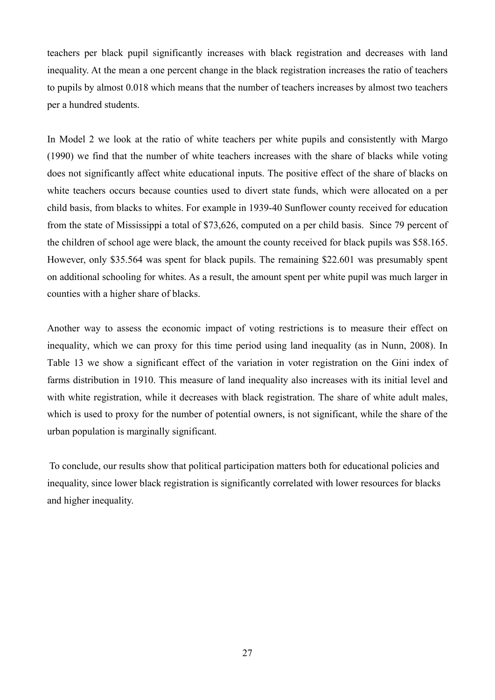teachers per black pupil significantly increases with black registration and decreases with land inequality. At the mean a one percent change in the black registration increases the ratio of teachers to pupils by almost 0.018 which means that the number of teachers increases by almost two teachers per a hundred students.

In Model 2 we look at the ratio of white teachers per white pupils and consistently with Margo (1990) we find that the number of white teachers increases with the share of blacks while voting does not significantly affect white educational inputs. The positive effect of the share of blacks on white teachers occurs because counties used to divert state funds, which were allocated on a per child basis, from blacks to whites. For example in 1939-40 Sunflower county received for education from the state of Mississippi a total of \$73,626, computed on a per child basis. Since 79 percent of the children of school age were black, the amount the county received for black pupils was \$58.165. However, only \$35.564 was spent for black pupils. The remaining \$22.601 was presumably spent on additional schooling for whites. As a result, the amount spent per white pupil was much larger in counties with a higher share of blacks.

Another way to assess the economic impact of voting restrictions is to measure their effect on inequality, which we can proxy for this time period using land inequality (as in Nunn, 2008). In Table 13 we show a significant effect of the variation in voter registration on the Gini index of farms distribution in 1910. This measure of land inequality also increases with its initial level and with white registration, while it decreases with black registration. The share of white adult males, which is used to proxy for the number of potential owners, is not significant, while the share of the urban population is marginally significant.

 To conclude, our results show that political participation matters both for educational policies and inequality, since lower black registration is significantly correlated with lower resources for blacks and higher inequality.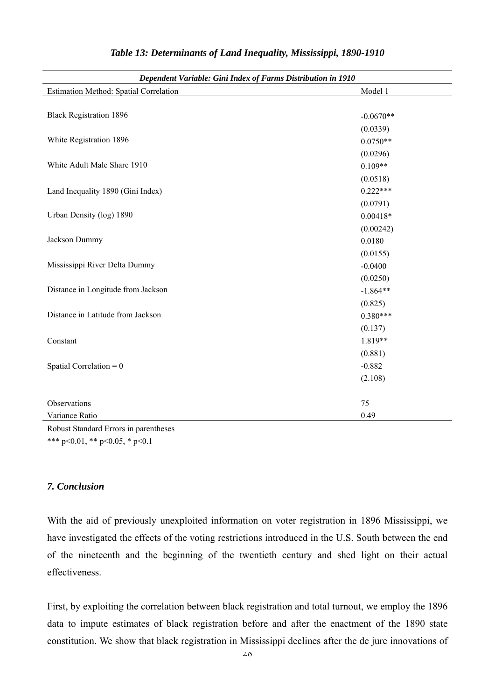| Dependent Variable: Gini Index of Farms Distribution in 1910 |             |  |
|--------------------------------------------------------------|-------------|--|
| Estimation Method: Spatial Correlation                       | Model 1     |  |
|                                                              |             |  |
| <b>Black Registration 1896</b>                               | $-0.0670**$ |  |
|                                                              | (0.0339)    |  |
| White Registration 1896                                      | $0.0750**$  |  |
|                                                              | (0.0296)    |  |
| White Adult Male Share 1910                                  | $0.109**$   |  |
|                                                              | (0.0518)    |  |
| Land Inequality 1890 (Gini Index)                            | $0.222***$  |  |
|                                                              | (0.0791)    |  |
| Urban Density (log) 1890                                     | $0.00418*$  |  |
|                                                              | (0.00242)   |  |
| Jackson Dummy                                                | 0.0180      |  |
|                                                              | (0.0155)    |  |
| Mississippi River Delta Dummy                                | $-0.0400$   |  |
|                                                              | (0.0250)    |  |
| Distance in Longitude from Jackson                           | $-1.864**$  |  |
|                                                              | (0.825)     |  |
| Distance in Latitude from Jackson                            | $0.380***$  |  |
|                                                              | (0.137)     |  |
| Constant                                                     | 1.819**     |  |
|                                                              | (0.881)     |  |
| Spatial Correlation = $0$                                    | $-0.882$    |  |
|                                                              | (2.108)     |  |
|                                                              |             |  |
| Observations                                                 | 75          |  |
| Variance Ratio                                               | 0.49        |  |

Robust Standard Errors in parentheses \*\*\* p<0.01, \*\* p<0.05, \* p<0.1

# *7. Conclusion*

With the aid of previously unexploited information on voter registration in 1896 Mississippi, we have investigated the effects of the voting restrictions introduced in the U.S. South between the end of the nineteenth and the beginning of the twentieth century and shed light on their actual effectiveness.

First, by exploiting the correlation between black registration and total turnout, we employ the 1896 data to impute estimates of black registration before and after the enactment of the 1890 state constitution. We show that black registration in Mississippi declines after the de jure innovations of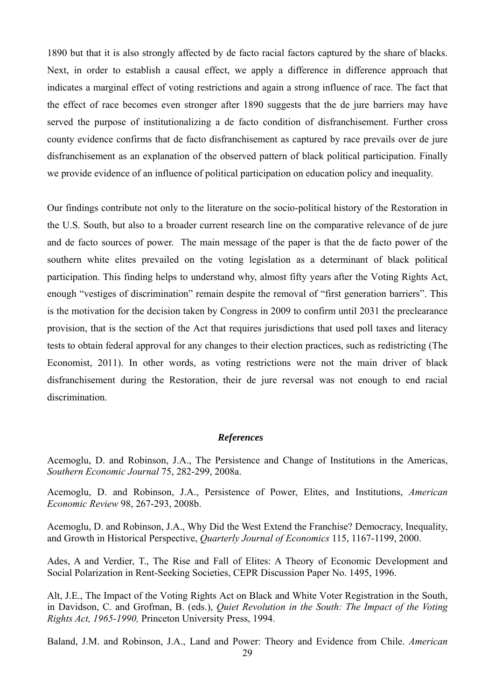1890 but that it is also strongly affected by de facto racial factors captured by the share of blacks. Next, in order to establish a causal effect, we apply a difference in difference approach that indicates a marginal effect of voting restrictions and again a strong influence of race. The fact that the effect of race becomes even stronger after 1890 suggests that the de jure barriers may have served the purpose of institutionalizing a de facto condition of disfranchisement. Further cross county evidence confirms that de facto disfranchisement as captured by race prevails over de jure disfranchisement as an explanation of the observed pattern of black political participation. Finally we provide evidence of an influence of political participation on education policy and inequality.

Our findings contribute not only to the literature on the socio-political history of the Restoration in the U.S. South, but also to a broader current research line on the comparative relevance of de jure and de facto sources of power. The main message of the paper is that the de facto power of the southern white elites prevailed on the voting legislation as a determinant of black political participation. This finding helps to understand why, almost fifty years after the Voting Rights Act, enough "vestiges of discrimination" remain despite the removal of "first generation barriers". This is the motivation for the decision taken by Congress in 2009 to confirm until 2031 the preclearance provision, that is the section of the Act that requires jurisdictions that used poll taxes and literacy tests to obtain federal approval for any changes to their election practices, such as redistricting (The Economist, 2011). In other words, as voting restrictions were not the main driver of black disfranchisement during the Restoration, their de jure reversal was not enough to end racial discrimination.

#### *References*

Acemoglu, D. and Robinson, J.A., The Persistence and Change of Institutions in the Americas, *Southern Economic Journal* 75, 282-299, 2008a.

Acemoglu, D. and Robinson, J.A., Persistence of Power, Elites, and Institutions, *American Economic Review* 98, 267-293, 2008b.

Acemoglu, D. and Robinson, J.A., Why Did the West Extend the Franchise? Democracy, Inequality, and Growth in Historical Perspective, *Quarterly Journal of Economics* 115, 1167-1199, 2000.

Ades, A and Verdier, T., The Rise and Fall of Elites: A Theory of Economic Development and Social Polarization in Rent-Seeking Societies, CEPR Discussion Paper No. 1495, 1996.

Alt, J.E., The Impact of the Voting Rights Act on Black and White Voter Registration in the South, in Davidson, C. and Grofman, B. (eds.), *Quiet Revolution in the South: The Impact of the Voting Rights Act, 1965-1990,* Princeton University Press, 1994.

Baland, J.M. and Robinson, J.A., Land and Power: Theory and Evidence from Chile. *American*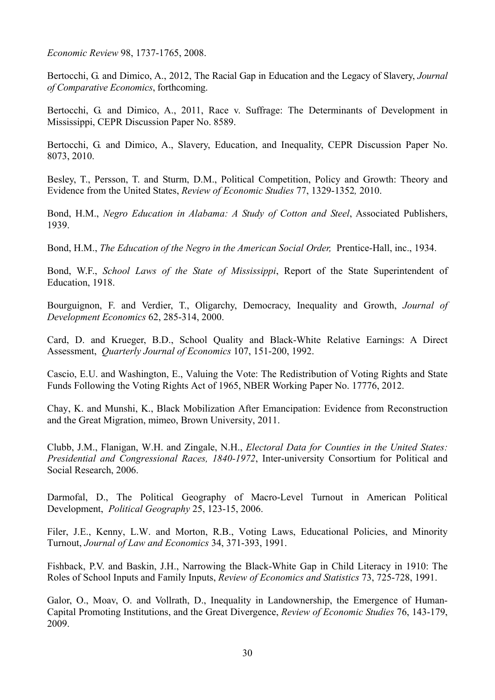*Economic Review* 98, 1737-1765, 2008.

Bertocchi, G. and Dimico, A., 2012, The Racial Gap in Education and the Legacy of Slavery, *Journal of Comparative Economics*, forthcoming.

Bertocchi, G. and Dimico, A., 2011, Race v. Suffrage: The Determinants of Development in Mississippi, CEPR Discussion Paper No. 8589.

Bertocchi, G. and Dimico, A., Slavery, Education, and Inequality, CEPR Discussion Paper No. 8073, 2010.

Besley, T., Persson, T. and Sturm, D.M., Political Competition, Policy and Growth: Theory and Evidence from the United States, *Review of Economic Studies* 77, 1329-1352*,* 2010.

Bond, H.M., *Negro Education in Alabama: A Study of Cotton and Steel*, Associated Publishers, 1939.

Bond, H.M., *The Education of the Negro in the American Social Order,* Prentice-Hall, inc., 1934.

Bond, W.F., *School Laws of the State of Mississippi*, Report of the State Superintendent of Education, 1918.

Bourguignon, F. and Verdier, T., Oligarchy, Democracy, Inequality and Growth, *Journal of Development Economics* 62, 285-314, 2000.

Card, D. and Krueger, B.D., School Quality and Black-White Relative Earnings: A Direct Assessment, *Quarterly Journal of Economics* 107, 151-200, 1992.

Cascio, E.U. and Washington, E., Valuing the Vote: The Redistribution of Voting Rights and State Funds Following the Voting Rights Act of 1965, NBER Working Paper No. 17776, 2012.

Chay, K. and Munshi, K., Black Mobilization After Emancipation: Evidence from Reconstruction and the Great Migration, mimeo, Brown University, 2011.

Clubb, J.M., Flanigan, W.H. and Zingale, N.H., *Electoral Data for Counties in the United States: Presidential and Congressional Races, 1840-1972*, Inter-university Consortium for Political and Social Research, 2006.

Darmofal, D., The Political Geography of Macro-Level Turnout in American Political Development, *Political Geography* 25, 123-15, 2006.

Filer, J.E., Kenny, L.W. and Morton, R.B., Voting Laws, Educational Policies, and Minority Turnout, *Journal of Law and Economics* 34, 371-393, 1991.

Fishback, P.V. and Baskin, J.H., Narrowing the Black-White Gap in Child Literacy in 1910: The Roles of School Inputs and Family Inputs, *Review of Economics and Statistics* 73, 725-728, 1991.

Galor, O., Moav, O. and Vollrath, D., Inequality in Landownership, the Emergence of Human-Capital Promoting Institutions, and the Great Divergence, *Review of Economic Studies* 76, 143-179, 2009.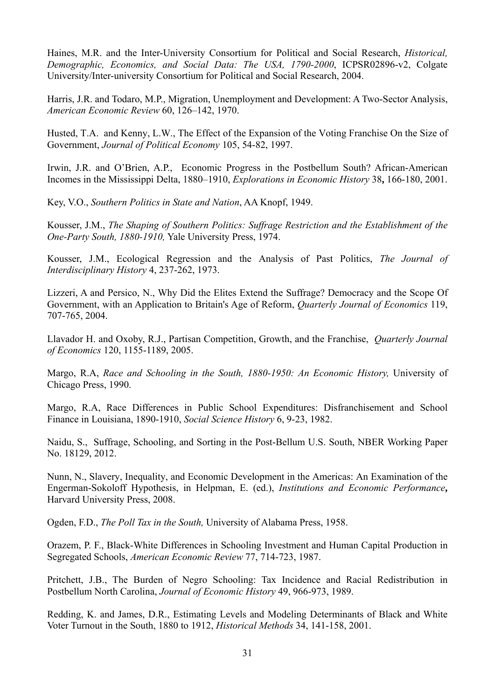Haines, M.R. and the Inter-University Consortium for Political and Social Research, *Historical, Demographic, Economics, and Social Data: The USA, 1790-2000*, ICPSR02896-v2, Colgate University/Inter-university Consortium for Political and Social Research, 2004.

Harris, J.R. and Todaro, M.P., Migration, Unemployment and Development: A Two-Sector Analysis, *American Economic Review* 60, 126–142, 1970.

Husted, T.A. and Kenny, L.W., The Effect of the Expansion of the Voting Franchise On the Size of Government, *Journal of Political Economy* 105, 54-82, 1997.

Irwin, J.R. and O'Brien, A.P., Economic Progress in the Postbellum South? African-American Incomes in the Mississippi Delta, 1880–1910, *Explorations in Economic History* 38**,** 166-180, 2001.

Key, V.O., *Southern Politics in State and Nation*, AA Knopf, 1949.

Kousser, J.M., *The Shaping of Southern Politics: Suffrage Restriction and the Establishment of the One-Party South, 1880-1910,* Yale University Press, 1974.

Kousser, J.M., Ecological Regression and the Analysis of Past Politics, *The Journal of Interdisciplinary History* 4, 237-262, 1973.

Lizzeri, A and Persico, N., Why Did the Elites Extend the Suffrage? Democracy and the Scope Of Government, with an Application to Britain's Age of Reform, *Quarterly Journal of Economics* 119, 707-765, 2004.

Llavador H. and Oxoby, R.J., Partisan Competition, Growth, and the Franchise, *Quarterly Journal of Economics* 120, 1155-1189, 2005.

Margo, R.A, *Race and Schooling in the South, 1880-1950: An Economic History,* University of Chicago Press, 1990.

Margo, R.A, Race Differences in Public School Expenditures: Disfranchisement and School Finance in Louisiana, 1890-1910, *Social Science History* 6, 9-23, 1982.

Naidu, S., Suffrage, Schooling, and Sorting in the Post-Bellum U.S. South, NBER Working Paper No. 18129, 2012.

Nunn, N., Slavery, Inequality, and Economic Development in the Americas: An Examination of the Engerman-Sokoloff Hypothesis, in Helpman, E. (ed.), *Institutions and Economic Performance***,**  Harvard University Press, 2008.

Ogden, F.D., *The Poll Tax in the South,* University of Alabama Press, 1958.

Orazem, P. F., Black-White Differences in Schooling Investment and Human Capital Production in Segregated Schools, *American Economic Review* 77, 714-723, 1987.

Pritchett, J.B., The Burden of Negro Schooling: Tax Incidence and Racial Redistribution in Postbellum North Carolina, *Journal of Economic History* 49, 966-973, 1989.

Redding, K. and James, D.R., Estimating Levels and Modeling Determinants of Black and White Voter Turnout in the South, 1880 to 1912, *Historical Methods* 34, 141-158, 2001.